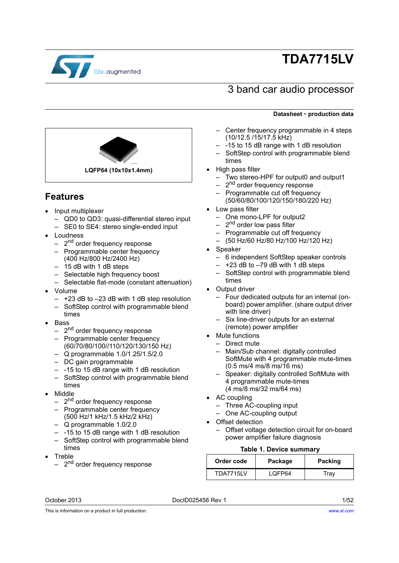

# **TDA7715LV**

### 3 band car audio processor



- Center frequency programmable in 4 steps (10/12.5 /15/17.5 kHz)
- -15 to 15 dB range with 1 dB resolution
- SoftStep control with programmable blend times
- High pass filter
	- Two stereo-HPF for output0 and output1
	- 2<sup>nd</sup> order frequency response
	- Programmable cut off frequency (50/60/80/100/120/150/180/220 Hz)
- Low pass filter
	- One mono-LPF for output2
	- $-$  2<sup>nd</sup> order low pass filter
	- Programmable cut off frequency
	- (50 Hz/60 Hz/80 Hz/100 Hz/120 Hz)
	- Speaker
		- 6 independent SoftStep speaker controls
		- $-$  +23 dB to  $-79$  dB with 1 dB steps
		- SoftStep control with programmable blend times
- **Output driver** 
	- Four dedicated outputs for an internal (onboard) power amplifier. (share output driver with line driver)
	- Six line-driver outputs for an external (remote) power amplifier
- Mute functions
- Direct mute
- Main/Sub channel: digitally controlled SoftMute with 4 programmable mute-times (0.5 ms/4 ms/8 ms/16 ms)
- Speaker: digitally controlled SoftMute with 4 programmable mute-times (4 ms/8 ms/32 ms/64 ms)
- AC coupling
	- Three AC-coupling input
	- One AC-coupling output
- Offset detection
	- Offset voltage detection circuit for on-board power amplifier failure diagnosis

#### **Table 1. Device summary**

<span id="page-0-0"></span>

| Order code       | Package | <b>Packing</b> |
|------------------|---------|----------------|
| <b>TDA7715LV</b> | LOFP64  | Trav           |

# **Features**

- Input multiplexer
	- QD0 to QD3: quasi-differential stereo input
	- SE0 to SE4: stereo single-ended input

**LQFP64 (10x10x1.4mm)**

- Loudness
	- $-$  2<sup>nd</sup> order frequency response
	- Programmable center frequency (400 Hz/800 Hz/2400 Hz)
	- 15 dB with 1 dB steps
	- Selectable high frequency boost
	- Selectable flat-mode (constant attenuation)
- Volume
	- +23 dB to –23 dB with 1 dB step resolution
	- SoftStep control with programmable blend times
- Bass
	- $-$  2<sup>nd</sup> order frequency response
	- Programmable center frequency (60/70/80/100//110/120/130/150 Hz)
	- Q programmable 1.0/1.25/1.5/2.0
	- DC gain programmable
	- $-$  -15 to 15 dB range with 1 dB resolution
	- SoftStep control with programmable blend times
- Middle
	- 2<sup>nd</sup> order frequency response
	- Programmable center frequency (500 Hz/1 kHz/1.5 kHz/2 kHz)
	- Q programmable 1.0/2.0
	- -15 to 15 dB range with 1 dB resolution
	- SoftStep control with programmable blend times
- Treble
	- 2<sup>nd</sup> order frequency response

October 2013 **DociD025456 Rev 1** 2013 **DociD025456 Rev 1** 

This is information on a product in full production.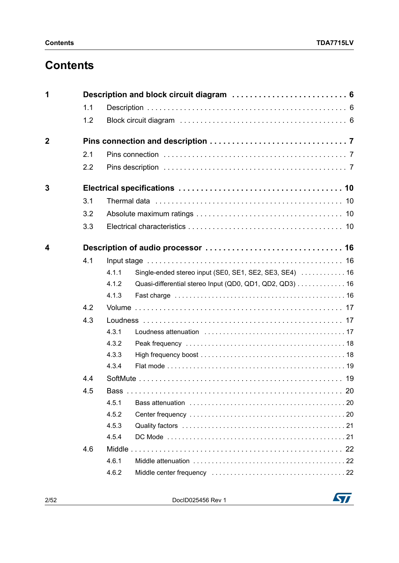## **Contents**

| 1              |     |       | Description and block circuit diagram  6                |  |
|----------------|-----|-------|---------------------------------------------------------|--|
|                | 1.1 |       |                                                         |  |
|                | 1.2 |       |                                                         |  |
| $\overline{2}$ |     |       |                                                         |  |
|                | 2.1 |       |                                                         |  |
|                | 2.2 |       |                                                         |  |
|                |     |       |                                                         |  |
| 3              |     |       |                                                         |  |
|                | 3.1 |       |                                                         |  |
|                | 3.2 |       |                                                         |  |
|                | 3.3 |       |                                                         |  |
| 4              |     |       |                                                         |  |
|                | 4.1 |       |                                                         |  |
|                |     | 4.1.1 | Single-ended stereo input (SE0, SE1, SE2, SE3, SE4)  16 |  |
|                |     | 4.1.2 | Quasi-differential stereo Input (QD0, QD1, QD2, QD3) 16 |  |
|                |     | 4.1.3 |                                                         |  |
|                | 4.2 |       |                                                         |  |
|                | 4.3 |       |                                                         |  |
|                |     | 4.3.1 |                                                         |  |
|                |     | 4.3.2 |                                                         |  |
|                |     | 4.3.3 |                                                         |  |
|                |     | 4.3.4 |                                                         |  |
|                | 4.4 |       |                                                         |  |
|                | 4.5 |       |                                                         |  |
|                |     | 4.5.1 |                                                         |  |
|                |     | 4.5.2 |                                                         |  |
|                |     | 4.5.3 |                                                         |  |
|                |     | 4.5.4 |                                                         |  |
|                | 4.6 |       |                                                         |  |
|                |     | 4.6.1 |                                                         |  |
|                |     | 4.6.2 |                                                         |  |

2/52 DocID025456 Rev 1

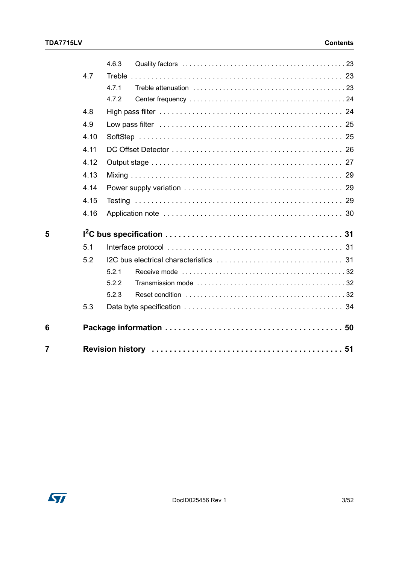|   |      | 4.6.3 |
|---|------|-------|
|   | 4.7  |       |
|   |      | 4.7.1 |
|   |      | 4.7.2 |
|   | 4.8  |       |
|   | 4.9  |       |
|   | 4.10 |       |
|   | 4.11 |       |
|   | 4.12 |       |
|   | 4.13 |       |
|   | 4.14 |       |
|   | 4.15 |       |
|   | 4.16 |       |
| 5 |      |       |
|   | 5.1  |       |
|   | 5.2  |       |
|   |      | 5.2.1 |
|   |      | 5.2.2 |
|   |      | 5.2.3 |
|   | 5.3  |       |
| 6 |      |       |
| 7 |      |       |

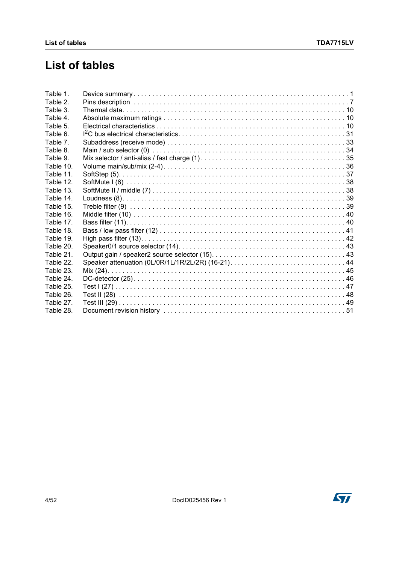# **List of tables**

| Table 1.  |  |
|-----------|--|
| Table 2.  |  |
| Table 3.  |  |
| Table 4.  |  |
| Table 5.  |  |
| Table 6.  |  |
| Table 7.  |  |
| Table 8.  |  |
| Table 9.  |  |
| Table 10. |  |
| Table 11. |  |
| Table 12. |  |
| Table 13. |  |
| Table 14. |  |
| Table 15. |  |
| Table 16. |  |
| Table 17. |  |
| Table 18. |  |
| Table 19. |  |
| Table 20. |  |
| Table 21. |  |
| Table 22. |  |
| Table 23. |  |
| Table 24. |  |
| Table 25. |  |
| Table 26. |  |
| Table 27. |  |
| Table 28. |  |

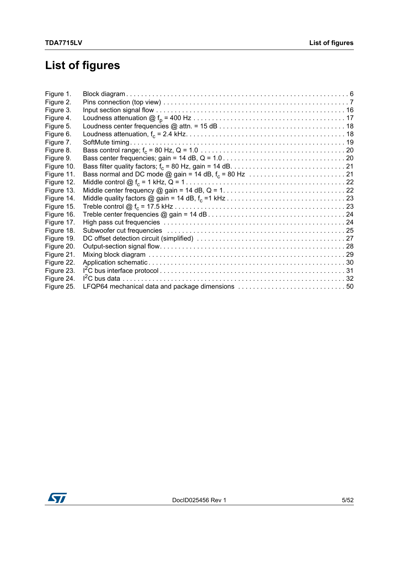# **List of figures**

| Figure 1.  |                                                  |  |
|------------|--------------------------------------------------|--|
| Figure 2.  |                                                  |  |
| Figure 3.  |                                                  |  |
| Figure 4.  |                                                  |  |
| Figure 5.  |                                                  |  |
| Figure 6.  |                                                  |  |
| Figure 7.  |                                                  |  |
| Figure 8.  |                                                  |  |
| Figure 9.  |                                                  |  |
| Figure 10. |                                                  |  |
| Figure 11. |                                                  |  |
| Figure 12. |                                                  |  |
| Figure 13. |                                                  |  |
| Figure 14. |                                                  |  |
| Figure 15. |                                                  |  |
| Figure 16. |                                                  |  |
| Figure 17. |                                                  |  |
| Figure 18. |                                                  |  |
| Figure 19. |                                                  |  |
| Figure 20. |                                                  |  |
| Figure 21. |                                                  |  |
| Figure 22. |                                                  |  |
| Figure 23. |                                                  |  |
| Figure 24. |                                                  |  |
| Figure 25. | LFQP64 mechanical data and package dimensions 50 |  |

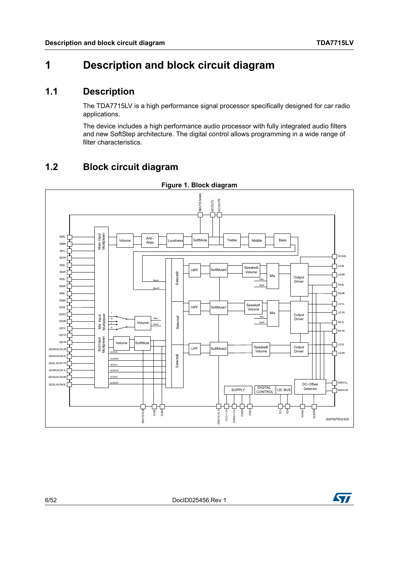### <span id="page-5-0"></span>**1 Description and block circuit diagram**

### <span id="page-5-1"></span>**1.1 Description**

The TDA7715LV is a high performance signal processor specifically designed for car radio applications.

The device includes a high performance audio processor with fully integrated audio filters and new SoftStep architecture. The digital control allows programming in a wide range of filter characteristics.

### <span id="page-5-2"></span>**1.2 Block circuit diagram**

<span id="page-5-3"></span>

**Figure 1. Block diagram**

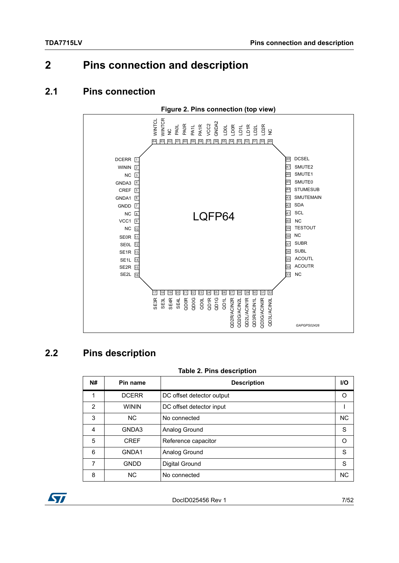## <span id="page-6-0"></span>**2 Pins connection and description**

### <span id="page-6-1"></span>**2.1 Pins connection**

<span id="page-6-4"></span>

### <span id="page-6-2"></span>**2.2 Pins description**

#### **Table 2. Pins description**

<span id="page-6-3"></span>

| <b>N#</b> | Pin name     | <b>Description</b>        | <b>I/O</b> |
|-----------|--------------|---------------------------|------------|
| 1         | <b>DCERR</b> | DC offset detector output | O          |
| 2         | <b>WININ</b> | DC offset detector input  |            |
| 3         | <b>NC</b>    | No connected              | <b>NC</b>  |
| 4         | GNDA3        | Analog Ground             | S          |
| 5         | <b>CREF</b>  | Reference capacitor       | O          |
| 6         | GNDA1        | Analog Ground             | S          |
| 7         | <b>GNDD</b>  | Digital Ground            | S          |
| 8         | <b>NC</b>    | No connected              | <b>NC</b>  |

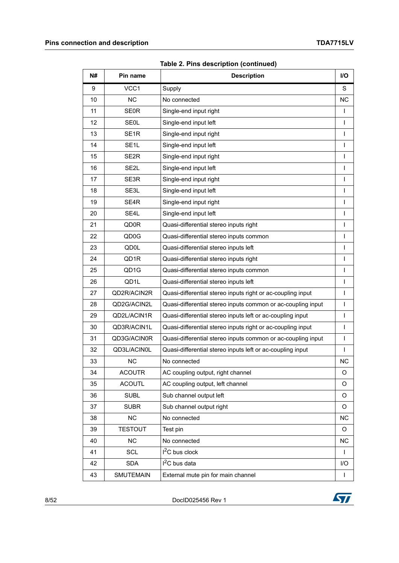| N# | Pin name          | <b>Description</b>                                           | I/O          |
|----|-------------------|--------------------------------------------------------------|--------------|
| 9  | VCC1              | Supply                                                       | S            |
| 10 | ΝC                | No connected                                                 | <b>NC</b>    |
| 11 | <b>SE0R</b>       | Single-end input right                                       | $\mathbf{I}$ |
| 12 | <b>SE0L</b>       | Single-end input left                                        | L            |
| 13 | SE <sub>1R</sub>  | Single-end input right                                       | $\mathsf{I}$ |
| 14 | SE <sub>1</sub> L | Single-end input left                                        | $\mathsf{I}$ |
| 15 | SE <sub>2R</sub>  | Single-end input right                                       | $\mathsf{I}$ |
| 16 | SE <sub>2</sub> L | Single-end input left                                        | $\mathsf{I}$ |
| 17 | SE3R              | Single-end input right                                       | $\mathsf{I}$ |
| 18 | SE3L              | Single-end input left                                        | $\mathbf{I}$ |
| 19 | SE <sub>4</sub> R | Single-end input right                                       | $\mathsf{I}$ |
| 20 | SE4L              | Single-end input left                                        | $\mathsf{I}$ |
| 21 | <b>QD0R</b>       | Quasi-differential stereo inputs right                       | $\mathsf{I}$ |
| 22 | QD <sub>0</sub> G | Quasi-differential stereo inputs common                      | $\mathsf{I}$ |
| 23 | QD0L              | Quasi-differential stereo inputs left                        | $\mathsf{I}$ |
| 24 | QD <sub>1</sub> R | Quasi-differential stereo inputs right                       | $\mathbf{I}$ |
| 25 | QD <sub>1</sub> G | Quasi-differential stereo inputs common                      | $\mathbf{I}$ |
| 26 | QD1L              | Quasi-differential stereo inputs left                        | $\mathsf{I}$ |
| 27 | QD2R/ACIN2R       | Quasi-differential stereo inputs right or ac-coupling input  | $\mathsf{I}$ |
| 28 | QD2G/ACIN2L       | Quasi-differential stereo inputs common or ac-coupling input | $\mathsf{I}$ |
| 29 | QD2L/ACIN1R       | Quasi-differential stereo inputs left or ac-coupling input   | $\mathsf{I}$ |
| 30 | QD3R/ACIN1L       | Quasi-differential stereo inputs right or ac-coupling input  | $\mathsf{I}$ |
| 31 | QD3G/ACIN0R       | Quasi-differential stereo inputs common or ac-coupling input | $\mathsf{I}$ |
| 32 | QD3L/ACIN0L       | Quasi-differential stereo inputs left or ac-coupling input   | $\mathsf{I}$ |
| 33 | <b>NC</b>         | No connected                                                 | <b>NC</b>    |
| 34 | <b>ACOUTR</b>     | AC coupling output, right channel                            | O            |
| 35 | <b>ACOUTL</b>     | AC coupling output, left channel                             | O            |
| 36 | <b>SUBL</b>       | Sub channel output left                                      | O            |
| 37 | <b>SUBR</b>       | Sub channel output right                                     | O            |
| 38 | <b>NC</b>         | No connected                                                 | NC           |
| 39 | <b>TESTOUT</b>    | Test pin                                                     | O            |
| 40 | <b>NC</b>         | No connected                                                 | NC           |
| 41 | SCL               | $12C$ bus clock                                              | $\mathbf{I}$ |
| 42 | <b>SDA</b>        | I <sup>2</sup> C bus data                                    | I/O          |
| 43 | <b>SMUTEMAIN</b>  | External mute pin for main channel                           | T            |

8/52 DocID025456 Rev 1

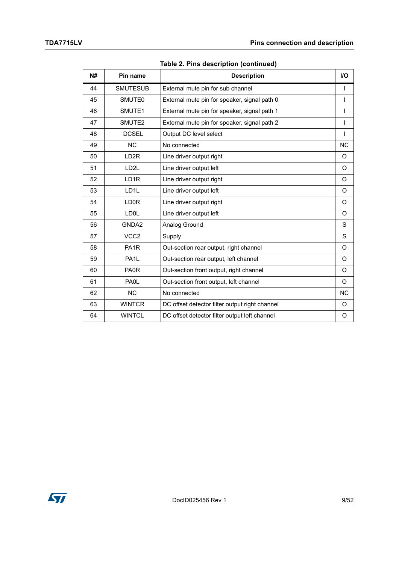| N# | Pin name          | <b>Description</b>                             | $II$         |
|----|-------------------|------------------------------------------------|--------------|
| 44 | <b>SMUTESUB</b>   | External mute pin for sub channel              | $\mathsf{I}$ |
| 45 | SMUTE0            | External mute pin for speaker, signal path 0   | $\mathbf{I}$ |
| 46 | SMUTE1            | External mute pin for speaker, signal path 1   | $\mathsf{I}$ |
| 47 | SMUTE2            | External mute pin for speaker, signal path 2   | $\mathsf{I}$ |
| 48 | <b>DCSEL</b>      | Output DC level select                         | $\mathsf{I}$ |
| 49 | <b>NC</b>         | No connected                                   | <b>NC</b>    |
| 50 | LD <sub>2R</sub>  | Line driver output right                       | O            |
| 51 | LD <sub>2</sub> L | Line driver output left                        | O            |
| 52 | LD <sub>1R</sub>  | Line driver output right                       | O            |
| 53 | LD <sub>1</sub> L | Line driver output left                        | O            |
| 54 | LD <sub>0R</sub>  | Line driver output right                       | O            |
| 55 | LD0L              | Line driver output left                        | O            |
| 56 | GNDA2             | Analog Ground                                  | S            |
| 57 | VCC <sub>2</sub>  | Supply                                         | S            |
| 58 | PA <sub>1</sub> R | Out-section rear output, right channel         | O            |
| 59 | PA <sub>1</sub> L | Out-section rear output, left channel          | O            |
| 60 | PA0R              | Out-section front output, right channel        | O            |
| 61 | PA0L              | Out-section front output, left channel         | O            |
| 62 | <b>NC</b>         | No connected                                   | <b>NC</b>    |
| 63 | <b>WINTCR</b>     | DC offset detector filter output right channel | O            |
| 64 | <b>WINTCL</b>     | DC offset detector filter output left channel  | O            |

**Table 2. Pins description (continued)**

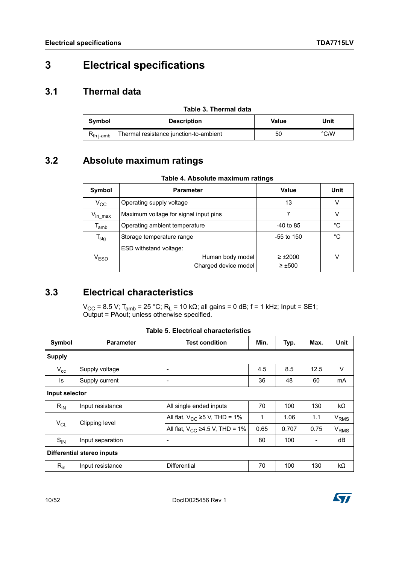## <span id="page-9-0"></span>**3 Electrical specifications**

### <span id="page-9-1"></span>**3.1 Thermal data**

<span id="page-9-4"></span>

| Table 3. Thermal data |                                        |       |               |  |
|-----------------------|----------------------------------------|-------|---------------|--|
| Symbol                | <b>Description</b>                     | Value | Unit          |  |
| $R_{th\,$ i-amb       | Thermal resistance junction-to-ambient | 50    | $\degree$ C/W |  |

### <span id="page-9-2"></span>**3.2 Absolute maximum ratings**

<span id="page-9-5"></span>

| Symbol                      | <b>Parameter</b>                      | Value           | Unit |
|-----------------------------|---------------------------------------|-----------------|------|
| $V_{CC}$                    | Operating supply voltage              | 13              | ν    |
| V <sub>in max</sub>         | Maximum voltage for signal input pins |                 | V    |
| $\mathsf{T}_{\mathsf{amb}}$ | Operating ambient temperature         | $-40$ to 85     | °C   |
| $T_{\text{stg}}$            | Storage temperature range             | $-55$ to 150    | °C   |
|                             | ESD withstand voltage:                |                 |      |
| $\rm V_{ESD}$               | Human body model                      | $\geq \pm 2000$ | v    |
|                             | Charged device model                  | $\geq \pm 500$  |      |

### <span id="page-9-3"></span>**3.3 Electrical characteristics**

 $V_{\text{CC}}$  = 8.5 V; T<sub>amb</sub> = 25 °C; R<sub>L</sub> = 10 kΩ; all gains = 0 dB; f = 1 kHz; Input = SE1; Output = PAout; unless otherwise specified.

<span id="page-9-6"></span>

|                |                                             | <b>Table 5. Electrical characteristics</b> |      |       |      |                  |  |  |
|----------------|---------------------------------------------|--------------------------------------------|------|-------|------|------------------|--|--|
| Symbol         | <b>Parameter</b>                            | <b>Test condition</b>                      | Min. | Typ.  | Max. | Unit             |  |  |
| <b>Supply</b>  |                                             |                                            |      |       |      |                  |  |  |
| $V_{cc}$       | Supply voltage                              | -                                          | 4.5  | 8.5   | 12.5 | V                |  |  |
| ls             | 36<br>Supply current<br>60<br>48<br>mA<br>- |                                            |      |       |      |                  |  |  |
| Input selector |                                             |                                            |      |       |      |                  |  |  |
| $R_{IN}$       | Input resistance                            | All single ended inputs                    | 70   | 100   | 130  | kΩ               |  |  |
|                |                                             | All flat, $V_{CC} \ge 5$ V, THD = 1%       | 1    | 1.06  | 1.1  | V <sub>RMS</sub> |  |  |
| $V_{CL}$       | Clipping level                              | All flat, $V_{CC}$ ≥4.5 V, THD = 1%        | 0.65 | 0.707 | 0.75 | V <sub>RMS</sub> |  |  |
| $S_{IN}$       | Input separation                            | $\overline{\phantom{a}}$                   | 80   | 100   |      | dB               |  |  |
|                | Differential stereo inputs                  |                                            |      |       |      |                  |  |  |
| $R_{in}$       | Input resistance                            | <b>Differential</b>                        | 70   | 100   | 130  | kΩ               |  |  |

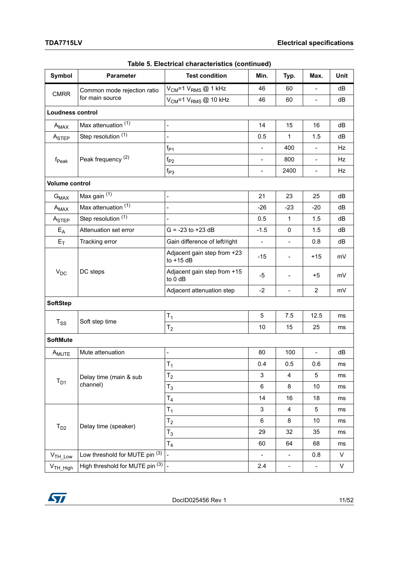| Symbol                  | <b>Parameter</b>                | <b>Test condition</b>                       | Min.                     | Typ.                     | Max.                     | Unit |
|-------------------------|---------------------------------|---------------------------------------------|--------------------------|--------------------------|--------------------------|------|
| <b>CMRR</b>             | Common mode rejection ratio     | V <sub>CM</sub> =1 V <sub>RMS</sub> @ 1 kHz | 46                       | 60                       | $\blacksquare$           | dB   |
|                         | for main source                 | $V_{CM}$ =1 $V_{RMS}$ @ 10 kHz              | 46                       | 60                       | $\blacksquare$           | dB   |
| <b>Loudness control</b> |                                 |                                             |                          |                          |                          |      |
| $A_{MAX}$               | Max attenuation (1)             | $\overline{\phantom{0}}$                    | 14                       | 15                       | 16                       | dB   |
| ASTEP                   | Step resolution (1)             | $\overline{a}$                              | 0.5                      | $\mathbf{1}$             | 1.5                      | dB   |
|                         |                                 | $f_{P1}$                                    | $\blacksquare$           | 400                      | $\overline{\phantom{a}}$ | Hz   |
| $f_{\sf Peak}$          | Peak frequency <sup>(2)</sup>   | $f_{P2}$                                    | $\blacksquare$           | 800                      | $\overline{\phantom{a}}$ | Hz   |
|                         |                                 | $f_{P3}$                                    | $\overline{\phantom{a}}$ | 2400                     | $\blacksquare$           | Hz   |
| Volume control          |                                 |                                             |                          |                          |                          |      |
| $G_{MAX}$               | Max gain (1)                    | $\overline{\phantom{0}}$                    | 21                       | 23                       | 25                       | dB   |
| $A_{MAX}$               | Max attenuation (1)             |                                             | $-26$                    | $-23$                    | $-20$                    | dB   |
| ASTEP                   | Step resolution (1)             | $\overline{\phantom{0}}$                    | 0.5                      | $\mathbf{1}$             | 1.5                      | dB   |
| $E_A$                   | Attenuation set error           | $G = -23$ to $+23$ dB                       | $-1.5$                   | 0                        | 1.5                      | dB   |
| $E_T$                   | Tracking error                  | Gain difference of left/right               | $\blacksquare$           | $\equiv$                 | 0.8                      | dB   |
|                         |                                 | Adjacent gain step from +23<br>to $+15$ dB  | $-15$                    | $\overline{\phantom{a}}$ | $+15$                    | mV   |
| $V_{DC}$                | DC steps                        | Adjacent gain step from +15<br>to 0 dB      | $-5$                     | $\blacksquare$           | $+5$                     | mV   |
|                         |                                 | Adjacent attenuation step                   | $-2$                     | $\equiv$                 | $\overline{2}$           | mV   |
| <b>SoftStep</b>         |                                 |                                             |                          |                          |                          |      |
|                         |                                 | $T_{1}$                                     | 5                        | 7.5                      | 12.5                     | ms   |
| $T_{SS}$                | Soft step time                  | $T_{2}$                                     | 10                       | 15                       | 25                       | ms   |
| <b>SoftMute</b>         |                                 |                                             |                          |                          |                          |      |
| A <sub>MUTE</sub>       | Mute attenuation                | $\overline{\phantom{0}}$                    | 80                       | 100                      | $\overline{\phantom{0}}$ | dB   |
|                         |                                 | $T_1$                                       | 0.4                      | 0.5                      | 0.6                      | ms   |
|                         | Delay time (main & sub          | $\mathsf{T}_2$                              | 3                        | $\overline{\mathbf{4}}$  | 5                        | ms   |
| $T_{D1}$                | channel)                        | $T_3$                                       | 6                        | 8                        | 10                       | ms   |
|                         |                                 | $\mathsf{T}_4$                              | 14                       | 16                       | 18                       | ms   |
|                         |                                 | $\mathsf{T}_1$                              | 3                        | 4                        | 5                        | ms   |
|                         | Delay time (speaker)            | $T_{2}$                                     | 6                        | 8                        | 10                       | ms   |
| $T_{D2}$                |                                 | $\mathsf{T}_3$                              | 29                       | 32                       | 35                       | ms   |
|                         |                                 | T <sub>4</sub>                              | 60                       | 64                       | 68                       | ms   |
| V <sub>TH_Low</sub>     | Low threshold for MUTE pin (3)  |                                             | $\overline{\phantom{a}}$ | $\overline{\phantom{a}}$ | 0.8                      | V    |
| V <sub>TH_High</sub>    | High threshold for MUTE pin (3) | $\frac{1}{2}$                               | 2.4                      | $\qquad \qquad -$        | $\qquad \qquad -$        | V    |

|  | Table 5. Electrical characteristics (continued) |  |
|--|-------------------------------------------------|--|
|  |                                                 |  |

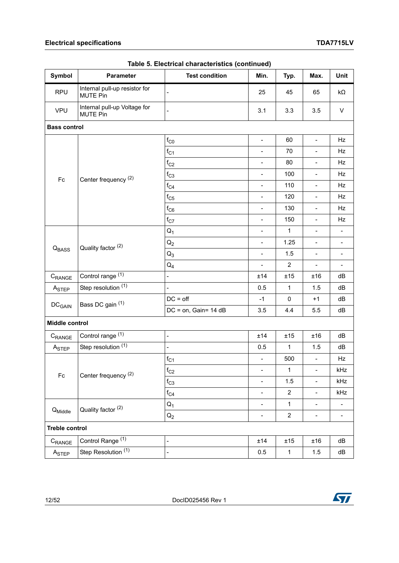#### **Electrical specifications TDA7715LV**

| <b>Symbol</b>            | Parameter                                        | <b>Test condition</b>    | ,<br>Min.                    | Typ.           | Max.                     | Unit                     |
|--------------------------|--------------------------------------------------|--------------------------|------------------------------|----------------|--------------------------|--------------------------|
| <b>RPU</b>               | Internal pull-up resistor for<br><b>MUTE Pin</b> |                          | 25                           | 45             | 65                       | $k\Omega$                |
| <b>VPU</b>               | Internal pull-up Voltage for<br><b>MUTE Pin</b>  |                          | 3.1                          | 3.3            | 3.5                      | $\mathsf{V}$             |
| <b>Bass control</b>      |                                                  |                          |                              |                |                          |                          |
|                          |                                                  | $f_{\rm CO}$             | $\overline{\phantom{0}}$     | 60             | $\blacksquare$           | Hz                       |
|                          |                                                  | $f_{C1}$                 | $\overline{a}$               | 70             | $\overline{\phantom{a}}$ | Hz                       |
|                          |                                                  | $f_{C2}$                 | $\overline{a}$               | 80             | $\overline{\phantom{0}}$ | Hz                       |
| Fc                       | Center frequency <sup>(2)</sup>                  | $f_{C3}$                 | $\overline{a}$               | 100            | $\overline{a}$           | Hz                       |
|                          |                                                  | $f_{C4}$                 | $\blacksquare$               | 110            | $\Box$                   | Hz                       |
|                          |                                                  | $f_{C5}$                 | $\blacksquare$               | 120            | $\overline{\phantom{a}}$ | Hz                       |
|                          |                                                  | $f_{C6}$                 | $\qquad \qquad \blacksquare$ | 130            | $\qquad \qquad -$        | Hz                       |
|                          |                                                  | $f_{C7}$                 | $\overline{a}$               | 150            | $\overline{\phantom{a}}$ | Hz                       |
|                          |                                                  | $Q_1$                    | $\frac{1}{2}$                | $\mathbf{1}$   | $\overline{\phantom{0}}$ |                          |
| Q <sub>BASS</sub>        | Quality factor (2)                               | $Q_2$                    | $\overline{a}$               | 1.25           | L,                       | $\blacksquare$           |
|                          |                                                  | $Q_3$                    | $\blacksquare$               | 1.5            | $\overline{\phantom{a}}$ | $\overline{\phantom{a}}$ |
|                          |                                                  | $Q_4$                    | $\frac{1}{2}$                | $\overline{2}$ | $\blacksquare$           | $\blacksquare$           |
| $C_{\sf RANGE}$          | Control range (1)                                | ÷,                       | ±14                          | ±15            | ±16                      | dB                       |
| A <sub>STEP</sub>        | Step resolution $(1)$                            |                          | 0.5                          | $\mathbf{1}$   | 1.5                      | dB                       |
| <b>DC<sub>GAIN</sub></b> | Bass DC gain (1)                                 | $DC = off$               | $-1$                         | 0              | $+1$                     | dB                       |
|                          |                                                  | DC = on, Gain= 14 dB     | 3.5                          | 4.4            | 5.5                      | dB                       |
| Middle control           |                                                  |                          |                              |                |                          |                          |
| C <sub>RANGE</sub>       | Control range (1)                                | $\overline{\phantom{0}}$ | ±14                          | ±15            | ±16                      | dB                       |
| A <sub>STEP</sub>        | Step resolution $(1)$                            | $\overline{a}$           | 0.5                          | $\mathbf{1}$   | 1.5                      | dB                       |
|                          |                                                  | $f_{C1}$                 | $\overline{a}$               | 500            | ÷,                       | Hz                       |
| $\mathsf{Fc}$            | Center frequency <sup>(2)</sup>                  | $f_{C2}$                 | $\qquad \qquad \blacksquare$ | $\mathbf 1$    | $\blacksquare$           | kHz                      |
|                          |                                                  | $f_{C3}$                 | $\overline{a}$               | 1.5            | $\blacksquare$           | kHz                      |
|                          |                                                  | $f_{C4}$                 | $\qquad \qquad \blacksquare$ | $\overline{2}$ | $\blacksquare$           | kHz                      |
|                          | Quality factor (2)                               | $Q_1$                    | $\qquad \qquad -$            | $\mathbf 1$    | $\overline{\phantom{a}}$ | $\overline{\phantom{a}}$ |
| Q <sub>Middle</sub>      |                                                  | $Q_2$                    | $\qquad \qquad \blacksquare$ | $\overline{2}$ | $\blacksquare$           | $\overline{\phantom{a}}$ |
| <b>Treble control</b>    |                                                  |                          |                              |                |                          |                          |
| $C_{\sf{RANGE}}$         | Control Range <sup>(1)</sup>                     | $\blacksquare$           | ±14                          | ±15            | ±16                      | dB                       |
| A <sub>STEP</sub>        | Step Resolution (1)                              | $\overline{\phantom{0}}$ | 0.5                          | $\mathbf 1$    | 1.5                      | dB                       |

**Table 5. Electrical characteristics (continued)**

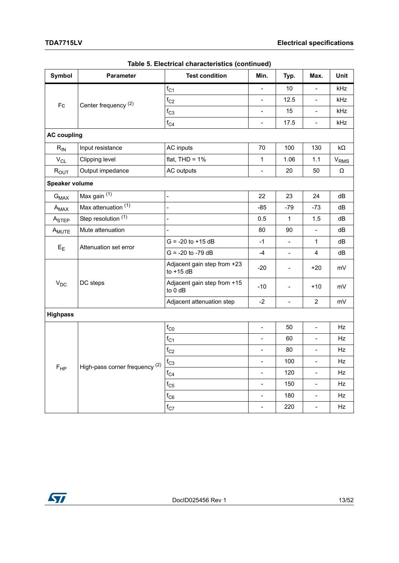| Symbol             | Parameter                       | <b>Test condition</b>                      | Min.                     | Typ.           | Max.                         | Unit       |
|--------------------|---------------------------------|--------------------------------------------|--------------------------|----------------|------------------------------|------------|
|                    |                                 | $f_{C1}$                                   | $\overline{a}$           | 10             |                              | kHz        |
| $\mathsf{Fc}$      | Center frequency <sup>(2)</sup> | $f_{C2}$                                   | $\overline{\phantom{a}}$ | 12.5           | $\blacksquare$               | <b>kHz</b> |
|                    |                                 | $f_{C3}$                                   | $\blacksquare$           | 15             | $\blacksquare$               | kHz        |
|                    |                                 | $f_{C4}$                                   | $\overline{\phantom{a}}$ | 17.5           | $\overline{\phantom{a}}$     | kHz        |
| <b>AC coupling</b> |                                 |                                            |                          |                |                              |            |
| $R_{IN}$           | Input resistance                | AC inputs                                  | 70                       | 100            | 130                          | $k\Omega$  |
| $\rm V_{CL}$       | Clipping level                  | flat, $THD = 1%$                           | $\mathbf{1}$             | 1.06           | 1.1                          | $V_{RMS}$  |
| $R_{OUT}$          | Output impedance                | AC outputs                                 | $\blacksquare$           | 20             | 50                           | $\Omega$   |
| Speaker volume     |                                 |                                            |                          |                |                              |            |
| $G_{MAX}$          | Max gain (1)                    | $\frac{1}{2}$                              | 22                       | 23             | 24                           | dB         |
| $A_{MAX}$          | Max attenuation (1)             | $\overline{a}$                             | $-85$                    | $-79$          | $-73$                        | dB         |
| ASTEP              | Step resolution (1)             | $\overline{a}$                             | 0.5                      | $\mathbf{1}$   | 1.5                          | dB         |
| A <sub>MUTE</sub>  | Mute attenuation                |                                            | 80                       | 90             | $\blacksquare$               | dB         |
|                    | Attenuation set error           | $G = -20$ to $+15$ dB                      | $-1$                     |                | $\mathbf{1}$                 | dB         |
| $E_{E}$            |                                 | $G = -20$ to $-79$ dB                      | $-4$                     | $\blacksquare$ | 4                            | dB         |
|                    | DC steps                        | Adjacent gain step from +23<br>to $+15$ dB | $-20$                    | $\frac{1}{2}$  | $+20$                        | mV         |
| $V_{DC}$           |                                 | Adjacent gain step from +15<br>to 0 dB     | $-10$                    | $\overline{a}$ | $+10$                        | mV         |
|                    |                                 | Adjacent attenuation step                  | $-2$                     | $\overline{a}$ | $\overline{c}$               | mV         |
| <b>Highpass</b>    |                                 |                                            |                          |                |                              |            |
|                    |                                 | $f_{\rm CO}$                               | $\blacksquare$           | 50             | $\blacksquare$               | Hz         |
|                    |                                 | $f_{C1}$                                   | $\blacksquare$           | 60             |                              | Hz         |
|                    |                                 | $f_{C2}$                                   | $\overline{\phantom{a}}$ | 80             | $\blacksquare$               | Hz         |
|                    | High-pass corner frequency (2)  | $f_{C3}$                                   | $\overline{\phantom{a}}$ | 100            |                              | Hz         |
| $F_{HP}$           |                                 | $f_{C4}$                                   | $\blacksquare$           | 120            | $\Box$                       | Hz         |
|                    |                                 | $f_{C5}$                                   | $\overline{a}$           | 150            | $\frac{1}{2}$                | Hz         |
|                    |                                 | $f_{\rm C6}$                               | $\frac{1}{2}$            | 180            | $\qquad \qquad \blacksquare$ | Hz         |
|                    |                                 | $\rm{f_{C7}}$                              | $\frac{1}{2}$            | 220            | $\blacksquare$               | Hz         |

**Table 5. Electrical characteristics (continued)**

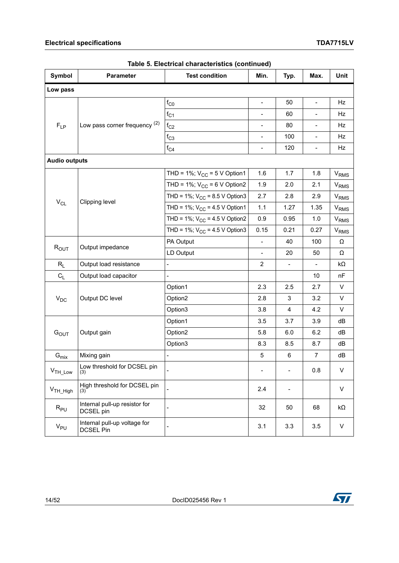| Symbol                    | Parameter                                        | <b>Test condition</b>              | Min.                     | Typ.                         | Max.                     | Unit                   |
|---------------------------|--------------------------------------------------|------------------------------------|--------------------------|------------------------------|--------------------------|------------------------|
| Low pass                  |                                                  |                                    |                          |                              |                          |                        |
|                           |                                                  | $f_{\rm CO}$                       | $\blacksquare$           | 50                           | $\blacksquare$           | Hz                     |
|                           |                                                  | $f_{C1}$                           | $\frac{1}{2}$            | 60                           | $\overline{\phantom{0}}$ | Hz                     |
| $F_{LP}$                  | Low pass corner frequency (2)                    | $f_{C2}$                           | $\overline{\phantom{a}}$ | 80                           | $\blacksquare$           | Hz                     |
|                           |                                                  | $f_{C3}$                           | $\frac{1}{2}$            | 100                          | $\overline{a}$           | Hz                     |
|                           |                                                  | $f_{C4}$                           | $\frac{1}{2}$            | 120                          | ÷,                       | Hz                     |
| <b>Audio outputs</b>      |                                                  |                                    |                          |                              |                          |                        |
|                           |                                                  | THD = 1%; $V_{CC}$ = 5 V Option1   | 1.6                      | 1.7                          | 1.8                      | V <sub>RMS</sub>       |
|                           |                                                  | THD = 1%; $V_{CC}$ = 6 V Option2   | 1.9                      | 2.0                          | 2.1                      | <b>V<sub>RMS</sub></b> |
| $\rm V_{CL}$              |                                                  | THD = 1%; $V_{CC}$ = 8.5 V Option3 | 2.7                      | 2.8                          | 2.9                      | <b>V<sub>RMS</sub></b> |
|                           | Clipping level                                   | THD = 1%; $V_{CC}$ = 4.5 V Option1 | 1.1                      | 1.27                         | 1.35                     | V <sub>RMS</sub>       |
|                           |                                                  | THD = 1%; $V_{CC}$ = 4.5 V Option2 | 0.9                      | 0.95                         | 1.0                      | V <sub>RMS</sub>       |
|                           |                                                  | THD = 1%; $V_{CC}$ = 4.5 V Option3 | 0.15                     | 0.21                         | 0.27                     | <b>V<sub>RMS</sub></b> |
|                           | Output impedance                                 | PA Output                          | $\frac{1}{2}$            | 40                           | 100                      | Ω                      |
| $R_{OUT}$                 |                                                  | LD Output                          | $\blacksquare$           | 20                           | 50                       | Ω                      |
| $R_L$                     | Output load resistance                           | $\overline{a}$                     | 2                        | $\overline{\phantom{a}}$     | $\overline{a}$           | kΩ                     |
| $C_L$                     | Output load capacitor                            | $\overline{a}$                     |                          |                              | 10                       | nF                     |
|                           |                                                  | Option1                            | 2.3                      | 2.5                          | 2.7                      | $\sf V$                |
| $V_{DC}$                  | Output DC level                                  | Option2                            | 2.8                      | 3                            | 3.2                      | V                      |
|                           |                                                  | Option3                            | 3.8                      | 4                            | 4.2                      | $\sf V$                |
|                           |                                                  | Option1                            | 3.5                      | 3.7                          | 3.9                      | dB                     |
| G <sub>OUT</sub>          | Output gain                                      | Option2                            | 5.8                      | 6.0                          | 6.2                      | dB                     |
|                           |                                                  | Option3                            | 8.3                      | 8.5                          | 8.7                      | dB                     |
| $\mathbf{G}_{\text{mix}}$ | Mixing gain                                      |                                    | 5                        | 6                            | $\overline{7}$           | dB                     |
| $VTH_Low$                 | Low threshold for DCSEL pin<br>(3)               |                                    |                          | $\qquad \qquad \blacksquare$ | 0.8                      | V                      |
| V <sub>TH_High</sub>      | High threshold for DCSEL pin<br>(3)              |                                    | 2.4                      | -                            |                          | $\sf V$                |
| $R_{PU}$                  | Internal pull-up resistor for<br>DCSEL pin       | $\frac{1}{2}$                      | 32                       | 50                           | 68                       | kΩ                     |
| $V_{PU}$                  | Internal pull-up voltage for<br><b>DCSEL Pin</b> |                                    | 3.1                      | 3.3                          | 3.5                      | V                      |

**Table 5. Electrical characteristics (continued)**

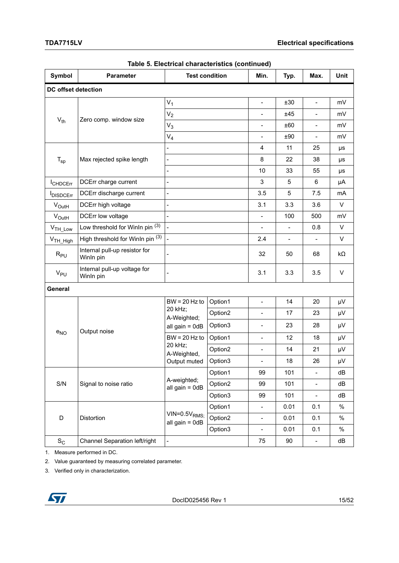| Symbol               | <b>Parameter</b>                           |                                      | <b>Test condition</b> | Min.                         | Typ.           | Max.                         | Unit      |
|----------------------|--------------------------------------------|--------------------------------------|-----------------------|------------------------------|----------------|------------------------------|-----------|
| DC offset detection  |                                            |                                      |                       |                              |                |                              |           |
|                      |                                            | $V_1$                                | $\blacksquare$        | ±30                          | $\blacksquare$ | mV                           |           |
|                      |                                            | $V_2$                                |                       | $\overline{a}$               | ±45            | $\blacksquare$               | mV        |
| $V_{th}$             | Zero comp. window size                     | $V_3$                                |                       | $\overline{a}$               | ±60            | $\blacksquare$               | mV        |
|                      |                                            | $V_4$                                |                       | $\overline{a}$               | ±90            | $\blacksquare$               | mV        |
|                      |                                            | $\overline{a}$                       |                       | 4                            | 11             | 25                           | μs        |
| $T_{sp}$             | Max rejected spike length                  | $\blacksquare$                       |                       | 8                            | 22             | 38                           | μs        |
|                      |                                            | $\overline{a}$                       |                       | 10                           | 33             | 55                           | μs        |
| <b>I</b> CHDCErr     | DCErr charge current                       | $\overline{\phantom{a}}$             |                       | 3                            | 5              | 6                            | μA        |
| <b>IDISDCErr</b>     | DCErr discharge current                    | $\overline{a}$                       |                       | 3.5                          | 5              | 7.5                          | mA        |
| $V_{\text{OutH}}$    | DCErr high voltage                         | $\overline{a}$                       |                       | 3.1                          | 3.3            | 3.6                          | $\vee$    |
| $V_{\text{OutH}}$    | DCErr low voltage                          | $\overline{a}$                       |                       | $\overline{a}$               | 100            | 500                          | mV        |
| V <sub>TH_Low</sub>  | Low threshold for Winln pin (3)            | $\overline{a}$                       |                       | $\overline{a}$               | $\blacksquare$ | 0.8                          | V         |
| V <sub>TH_High</sub> | High threshold for Winln pin (3)           | $\overline{\phantom{a}}$             |                       | 2.4                          | $\blacksquare$ | $\overline{\phantom{a}}$     | V         |
| $R_{PU}$             | Internal pull-up resistor for<br>Winln pin |                                      |                       | 32                           | 50             | 68                           | $k\Omega$ |
| $V_{PU}$             | Internal pull-up voltage for<br>Winln pin  |                                      |                       | 3.1                          | 3.3            | 3.5                          | V         |
| General              |                                            |                                      |                       |                              |                |                              |           |
|                      |                                            | $BW = 20 Hz to$                      | Option1               | $\overline{a}$               | 14             | 20                           | μV        |
|                      |                                            | 20 kHz;<br>A-Weighted;               | Option2               | $\overline{a}$               | 17             | 23                           | μV        |
|                      |                                            | all gain = $0dB$                     | Option3               | $\overline{a}$               | 23             | 28                           | μV        |
| $e_{NO}$             | Output noise                               | $BW = 20 Hz to$                      | Option1               | $\overline{a}$               | 12             | 18                           | μV        |
|                      |                                            | 20 kHz;<br>A-Weighted,               | Option2               | $\overline{a}$               | 14             | 21                           | μV        |
|                      |                                            | Output muted                         | Option3               |                              | 18             | 26                           | μV        |
|                      |                                            |                                      | Option1               | 99                           | 101            | $\frac{1}{2}$                | dB        |
| S/N                  | Signal to noise ratio                      | A-weighted;<br>all gain = $0dB$      | Option2               | 99                           | 101            | $\qquad \qquad \blacksquare$ | dB        |
|                      |                                            |                                      | Option3               | 99                           | 101            | $\overline{\phantom{a}}$     | dB        |
|                      |                                            |                                      | Option1               | $\overline{a}$               | 0.01           | 0.1                          | $\%$      |
| D                    | Distortion                                 | $VIN=0.5V_{RMS}$<br>all gain = $0dB$ | Option2               | $\qquad \qquad -$            | 0.01           | 0.1                          | $\%$      |
|                      |                                            |                                      | Option3               | $\qquad \qquad \blacksquare$ | 0.01           | 0.1                          | $\%$      |
| $S_C$                | Channel Separation left/right              | $\Box$                               |                       | 75                           | 90             | $\blacksquare$               | dB        |

1. Measure performed in DC.

2. Value guaranteed by measuring correlated parameter.

3. Verified only in characterization.

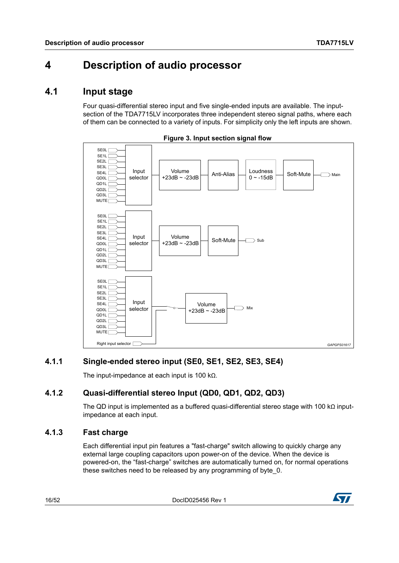### <span id="page-15-0"></span>**4 Description of audio processor**

### <span id="page-15-1"></span>**4.1 Input stage**

Four quasi-differential stereo input and five single-ended inputs are available. The inputsection of the TDA7715LV incorporates three independent stereo signal paths, where each of them can be connected to a variety of inputs. For simplicity only the left inputs are shown.

<span id="page-15-5"></span>

**Figure 3. Input section signal flow**

#### <span id="page-15-2"></span>**4.1.1 Single-ended stereo input (SE0, SE1, SE2, SE3, SE4)**

The input-impedance at each input is 100 kΩ.

#### <span id="page-15-3"></span>**4.1.2 Quasi-differential stereo Input (QD0, QD1, QD2, QD3)**

The QD input is implemented as a buffered quasi-differential stereo stage with 100 kΩ inputimpedance at each input.

#### <span id="page-15-4"></span>**4.1.3 Fast charge**

Each differential input pin features a "fast-charge" switch allowing to quickly charge any external large coupling capacitors upon power-on of the device. When the device is powered-on, the "fast-charge" switches are automatically turned on, for normal operations these switches need to be released by any programming of byte\_0.

16/52 DocID025456 Rev 1

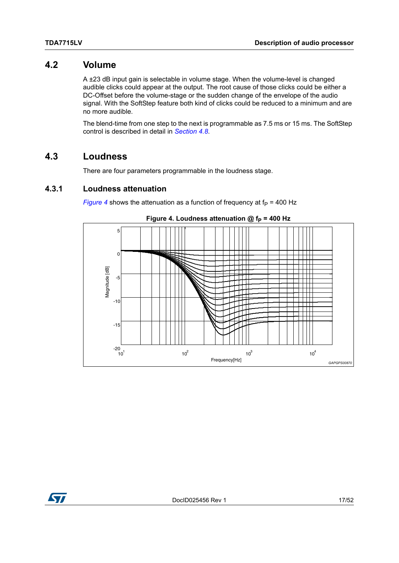#### <span id="page-16-0"></span>**4.2 Volume**

A ±23 dB input gain is selectable in volume stage. When the volume-level is changed audible clicks could appear at the output. The root cause of those clicks could be either a DC-Offset before the volume-stage or the sudden change of the envelope of the audio signal. With the SoftStep feature both kind of clicks could be reduced to a minimum and are no more audible.

The blend-time from one step to the next is programmable as 7.5 ms or 15 ms. The SoftStep control is described in detail in *[Section 4.8](#page-23-1)*.

#### <span id="page-16-1"></span>**4.3 Loudness**

There are four parameters programmable in the loudness stage.

#### <span id="page-16-2"></span>**4.3.1 Loudness attenuation**

*[Figure 4](#page-16-3)* shows the attenuation as a function of frequency at  $f_P$  = 400 Hz

<span id="page-16-3"></span>



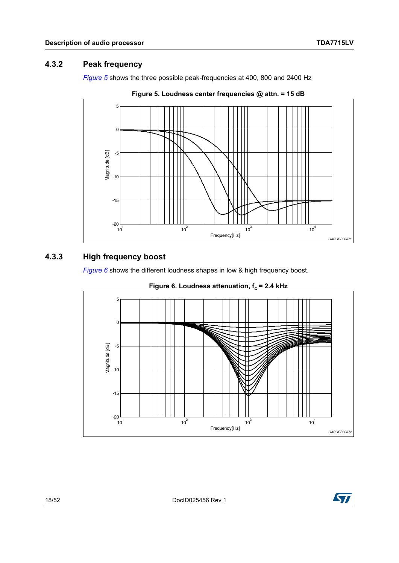#### <span id="page-17-0"></span>**4.3.2 Peak frequency**

*[Figure 5](#page-17-2)* shows the three possible peak-frequencies at 400, 800 and 2400 Hz

<span id="page-17-2"></span>



#### <span id="page-17-1"></span>**4.3.3 High frequency boost**

*[Figure 6](#page-17-3)* shows the different loudness shapes in low & high frequency boost.

<span id="page-17-3"></span>

#### **Figure 6. Loudness attenuation, f<sub>c</sub> = 2.4 kHz**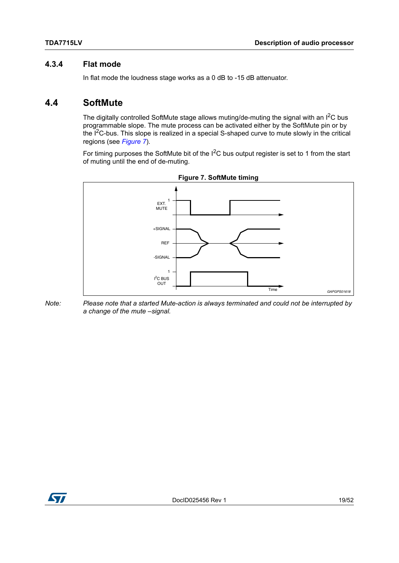#### <span id="page-18-0"></span>**4.3.4 Flat mode**

In flat mode the loudness stage works as a 0 dB to -15 dB attenuator.

### <span id="page-18-1"></span>**4.4 SoftMute**

The digitally controlled SoftMute stage allows muting/de-muting the signal with an  $I^2C$  bus programmable slope. The mute process can be activated either by the SoftMute pin or by the  $I^2C$ -bus. This slope is realized in a special S-shaped curve to mute slowly in the critical regions (see *[Figure 7](#page-18-2)*).

For timing purposes the SoftMute bit of the I<sup>2</sup>C bus output register is set to 1 from the start of muting until the end of de-muting.

<span id="page-18-2"></span>

**Figure 7. SoftMute timing**

*Note: Please note that a started Mute-action is always terminated and could not be interrupted by a change of the mute –signal.*

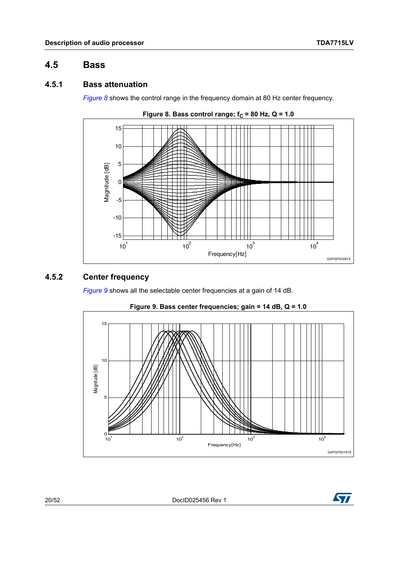#### <span id="page-19-0"></span>**4.5 Bass**

#### <span id="page-19-1"></span>**4.5.1 Bass attenuation**

*[Figure 8](#page-19-3)* shows the control range in the frequency domain at 80 Hz center frequency.

<span id="page-19-3"></span>

#### <span id="page-19-2"></span>**4.5.2 Center frequency**

*[Figure 9](#page-19-4)* shows all the selectable center frequencies at a gain of 14 dB.

<span id="page-19-4"></span>

**Figure 9. Bass center frequencies; gain = 14 dB, Q = 1.0**

20/52 DocID025456 Rev 1

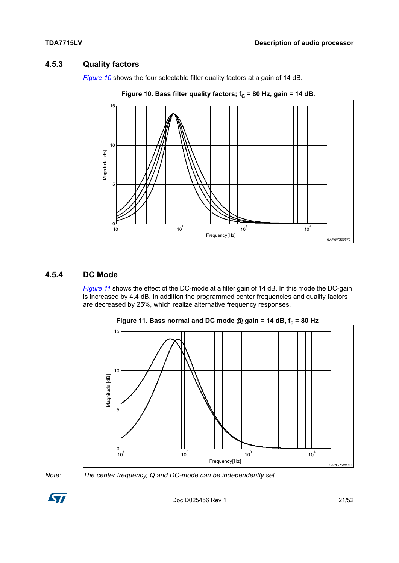#### <span id="page-20-0"></span>**4.5.3 Quality factors**

*[Figure 10](#page-20-2)* shows the four selectable filter quality factors at a gain of 14 dB.

<span id="page-20-2"></span>



#### <span id="page-20-1"></span>**4.5.4 DC Mode**

*[Figure 11](#page-20-3)* shows the effect of the DC-mode at a filter gain of 14 dB. In this mode the DC-gain is increased by 4.4 dB. In addition the programmed center frequencies and quality factors are decreased by 25%, which realize alternative frequency responses.

<span id="page-20-3"></span>



*Note: The center frequency, Q and DC-mode can be independently set.*

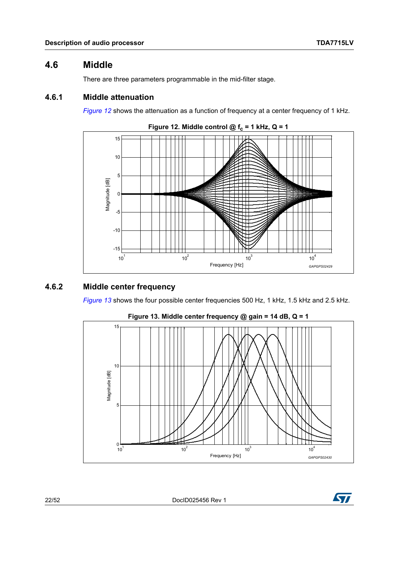#### <span id="page-21-0"></span>**4.6 Middle**

There are three parameters programmable in the mid-filter stage.

#### <span id="page-21-1"></span>**4.6.1 Middle attenuation**

*[Figure 12](#page-21-3)* shows the attenuation as a function of frequency at a center frequency of 1 kHz.

<span id="page-21-3"></span>

#### <span id="page-21-2"></span>**4.6.2 Middle center frequency**

*[Figure 13](#page-21-4)* shows the four possible center frequencies 500 Hz, 1 kHz, 1.5 kHz and 2.5 kHz.

<span id="page-21-4"></span>

**Figure 13. Middle center frequency @ gain = 14 dB, Q = 1**

22/52 DocID025456 Rev 1

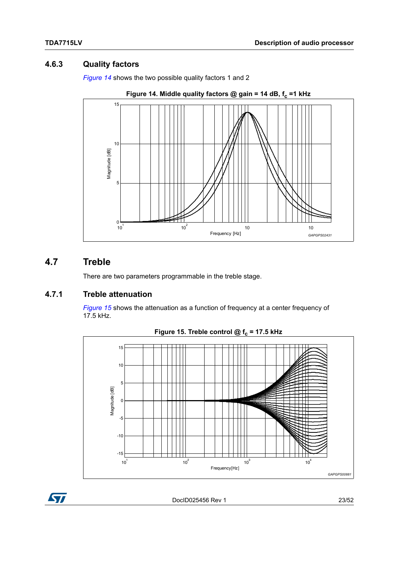#### <span id="page-22-0"></span>**4.6.3 Quality factors**

*[Figure 14](#page-22-3)* shows the two possible quality factors 1 and 2

<span id="page-22-3"></span>

#### <span id="page-22-1"></span>**4.7 Treble**

There are two parameters programmable in the treble stage.

#### <span id="page-22-2"></span>**4.7.1 Treble attenuation**

*[Figure 15](#page-22-4)* shows the attenuation as a function of frequency at a center frequency of 17.5 kHz.

<span id="page-22-4"></span>

Figure 15. Treble control  $@f_c = 17.5$  kHz

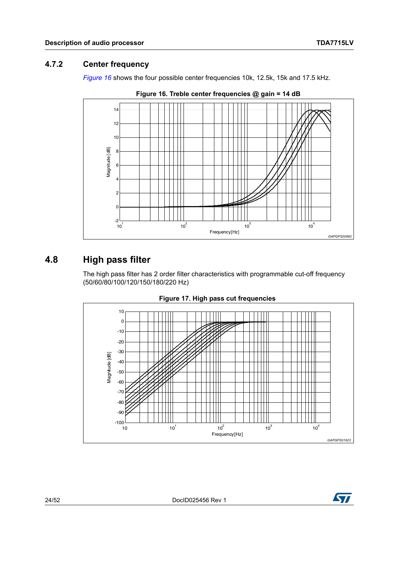### <span id="page-23-0"></span>**4.7.2 Center frequency**

*[Figure 16](#page-23-2)* shows the four possible center frequencies 10k, 12.5k, 15k and 17.5 kHz.

<span id="page-23-2"></span>

**Figure 16. Treble center frequencies @ gain = 14 dB**

### <span id="page-23-1"></span>**4.8 High pass filter**

The high pass filter has 2 order filter characteristics with programmable cut-off frequency (50/60/80/100/120/150/180/220 Hz)

<span id="page-23-3"></span>

**Figure 17. High pass cut frequencies** 

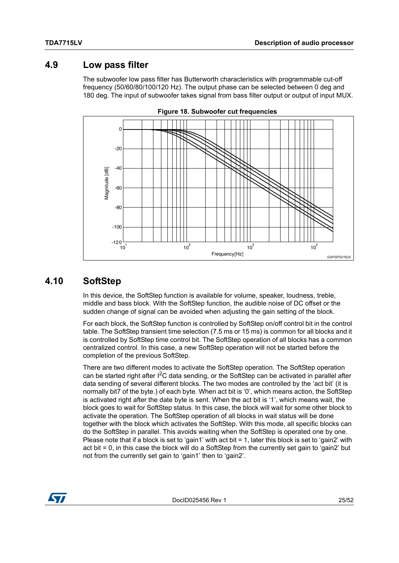### <span id="page-24-0"></span>**4.9 Low pass filter**

The subwoofer low pass filter has Butterworth characteristics with programmable cut-off frequency (50/60/80/100/120 Hz). The output phase can be selected between 0 deg and 180 deg. The input of subwoofer takes signal from bass filter output or output of input MUX.

<span id="page-24-2"></span>



### <span id="page-24-1"></span>**4.10 SoftStep**

In this device, the SoftStep function is available for volume, speaker, loudness, treble, middle and bass block. With the SoftStep function, the audible noise of DC offset or the sudden change of signal can be avoided when adjusting the gain setting of the block.

For each block, the SoftStep function is controlled by SoftStep on/off control bit in the control table. The SoftStep transient time selection (7.5 ms or 15 ms) is common for all blocks and it is controlled by SoftStep time control bit. The SoftStep operation of all blocks has a common centralized control. In this case, a new SoftStep operation will not be started before the completion of the previous SoftStep.

There are two different modes to activate the SoftStep operation. The SoftStep operation can be started right after  $I^2C$  data sending, or the SoftStep can be activated in parallel after data sending of several different blocks. The two modes are controlled by the 'act bit' (it is normally bit7 of the byte.) of each byte. When act bit is '0', which means action, the SoftStep is activated right after the date byte is sent. When the act bit is '1', which means wait, the block goes to wait for SoftStep status. In this case, the block will wait for some other block to activate the operation. The SoftStep operation of all blocks in wait status will be done together with the block which activates the SoftStep. With this mode, all specific blocks can do the SoftStep in parallel. This avoids waiting when the SoftStep is operated one by one. Please note that if a block is set to 'gain1' with act bit = 1, later this block is set to 'gain2' with act bit = 0, in this case the block will do a SoftStep from the currently set gain to 'gain2' but not from the currently set gain to 'gain1' then to 'gain2'.



DocID025456 Rev 1 25/52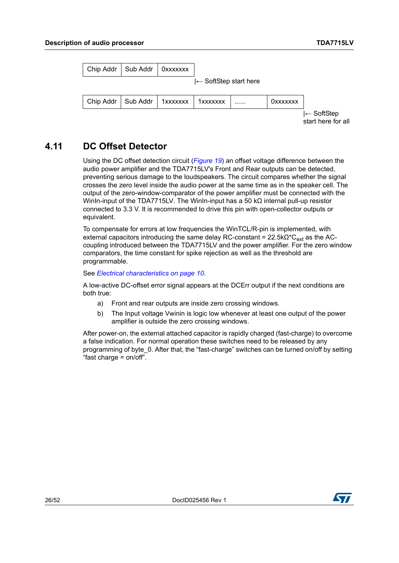| Chip Addr   Sub Addr   0xxxxxxx            |  |                                  |   |                 |                       |
|--------------------------------------------|--|----------------------------------|---|-----------------|-----------------------|
|                                            |  | $\leftarrow$ SoftStep start here |   |                 |                       |
| Chip Addr   Sub Addr   1xxxxxxx   1xxxxxxx |  |                                  | . | <b>OXXXXXXX</b> |                       |
|                                            |  |                                  |   |                 | $\leftarrow$ SoftStep |

start here for all

### <span id="page-25-0"></span>**4.11 DC Offset Detector**

Using the DC offset detection circuit (*[Figure 19](#page-26-1)*) an offset voltage difference between the audio power amplifier and the TDA7715LV's Front and Rear outputs can be detected, preventing serious damage to the loudspeakers. The circuit compares whether the signal crosses the zero level inside the audio power at the same time as in the speaker cell. The output of the zero-window-comparator of the power amplifier must be connected with the WinIn-input of the TDA7715LV. The WinIn-input has a 50 kΩ internal pull-up resistor connected to 3.3 V. It is recommended to drive this pin with open-collector outputs or equivalent.

To compensate for errors at low frequencies the WinTCL/R-pin is implemented, with external capacitors introducing the same delay RC-constant =  $22.5kΩ<sup>*</sup>C<sub>ext</sub>$  as the ACcoupling introduced between the TDA7715LV and the power amplifier. For the zero window comparators, the time constant for spike rejection as well as the threshold are programmable.

See *[Electrical characteristics on page 10](#page-9-6)*.

A low-active DC-offset error signal appears at the DCErr output if the next conditions are both true:

- a) Front and rear outputs are inside zero crossing windows.
- b) The Input voltage Vwinin is logic low whenever at least one output of the power amplifier is outside the zero crossing windows.

After power-on, the external attached capacitor is rapidly charged (fast-charge) to overcome a false indication. For normal operation these switches need to be released by any programming of byte\_0. After that, the "fast-charge" switches can be turned on/off by setting "fast charge = on/off".

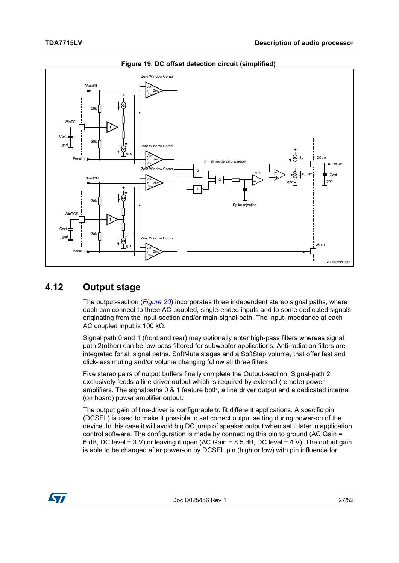<span id="page-26-1"></span>

**Figure 19. DC offset detection circuit (simplified)** 

#### <span id="page-26-0"></span>**4.12 Output stage**

The output-section (*[Figure 20](#page-27-0)*) incorporates three independent stereo signal paths, where each can connect to three AC-coupled, single-ended inputs and to some dedicated signals originating from the input-section and/or main-signal-path. The input-impedance at each AC coupled input is 100 kΩ.

Signal path 0 and 1 (front and rear) may optionally enter high-pass filters whereas signal path 2(other) can be low-pass filtered for subwoofer applications. Anti-radiation filters are integrated for all signal paths. SoftMute stages and a SoftStep volume, that offer fast and click-less muting and/or volume changing follow all three filters.

Five stereo pairs of output buffers finally complete the Output-section: Signal-path 2 exclusively feeds a line driver output which is required by external (remote) power amplifiers. The signalpaths 0 & 1 feature both, a line driver output and a dedicated internal (on board) power amplifier output.

The output gain of line-driver is configurable to fit different applications. A specific pin (DCSEL) is used to make it possible to set correct output setting during power-on of the device. In this case it will avoid big DC jump of speaker output when set it later in application control software. The configuration is made by connecting this pin to ground (AC Gain = 6 dB, DC level = 3 V) or leaving it open (AC Gain = 8.5 dB, DC level = 4 V). The output gain is able to be changed after power-on by DCSEL pin (high or low) with pin influence for

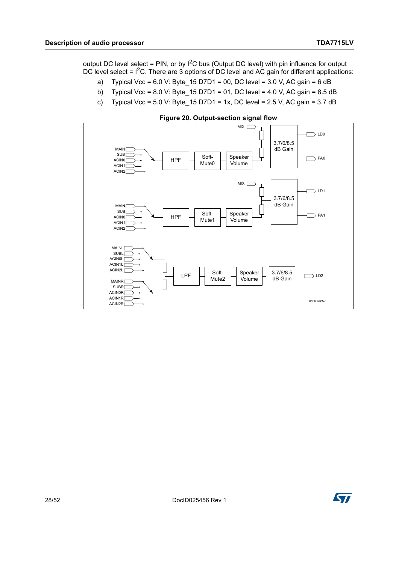output DC level select = PIN, or by I<sup>2</sup>C bus (Output DC level) with pin influence for output DC level select =  $1^2$ C. There are 3 options of DC level and AC gain for different applications:

- a) Typical Vcc = 6.0 V: Byte  $15$  D7D1 = 00, DC level = 3.0 V, AC gain = 6 dB
- b) Typical Vcc = 8.0 V: Byte  $15$  D7D1 = 01, DC level = 4.0 V, AC gain = 8.5 dB
- c) Typical Vcc = 5.0 V: Byte  $15$  D7D1 = 1x, DC level = 2.5 V, AC gain = 3.7 dB

<span id="page-27-0"></span>

**Figure 20. Output-section signal flow**

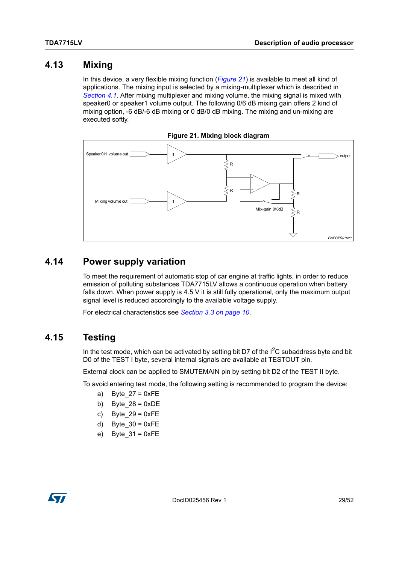#### <span id="page-28-0"></span>**4.13 Mixing**

In this device, a very flexible mixing function (*[Figure 21](#page-28-3)*) is available to meet all kind of applications. The mixing input is selected by a mixing-multiplexer which is described in *[Section 4.1](#page-15-1)*. After mixing multiplexer and mixing volume, the mixing signal is mixed with speaker0 or speaker1 volume output. The following 0/6 dB mixing gain offers 2 kind of mixing option, -6 dB/-6 dB mixing or 0 dB/0 dB mixing. The mixing and un-mixing are executed softly.

<span id="page-28-3"></span>

### <span id="page-28-1"></span>**4.14 Power supply variation**

To meet the requirement of automatic stop of car engine at traffic lights, in order to reduce emission of polluting substances TDA7715LV allows a continuous operation when battery falls down. When power supply is 4.5 V it is still fully operational, only the maximum output signal level is reduced accordingly to the available voltage supply.

For electrical characteristics see *[Section 3.3 on page 10](#page-9-3)*.

#### <span id="page-28-2"></span>**4.15 Testing**

In the test mode, which can be activated by setting bit D7 of the  $I^2C$  subaddress byte and bit D0 of the TEST I byte, several internal signals are available at TESTOUT pin.

External clock can be applied to SMUTEMAIN pin by setting bit D2 of the TEST II byte.

To avoid entering test mode, the following setting is recommended to program the device:

- a) Byte  $27 = 0xFE$
- b) Byte  $28 = 0xDE$
- c) Byte  $29 = 0xFE$
- d) Byte  $30 = 0xFE$
- e) Byte  $31 = 0xFE$

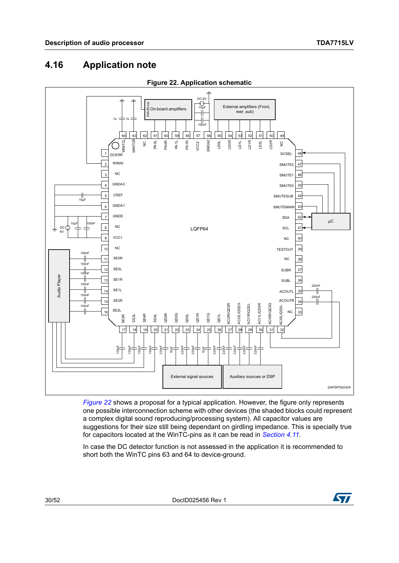### <span id="page-29-0"></span>**4.16 Application note**

<span id="page-29-1"></span>

**Figure 22. Application schematic**

*[Figure 22](#page-29-1)* shows a proposal for a typical application. However, the figure only represents one possible interconnection scheme with other devices (the shaded blocks could represent a complex digital sound reproducing/processing system). All capacitor values are suggestions for their size still being dependant on girdling impedance. This is specially true for capacitors located at the WinTC-pins as it can be read in *[Section 4.11](#page-25-0)*.

In case the DC detector function is not assessed in the application it is recommended to

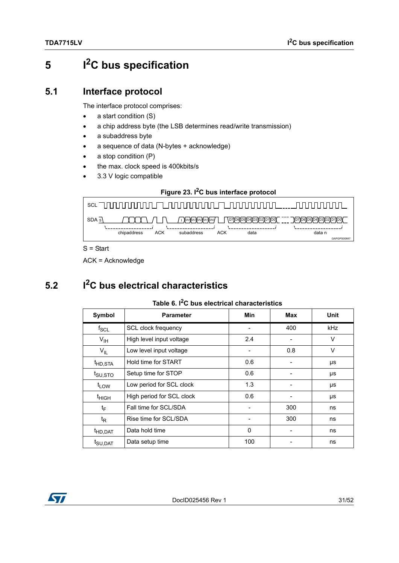# <span id="page-30-0"></span>**5 I2C bus specification**

#### <span id="page-30-1"></span>**5.1 Interface protocol**

The interface protocol comprises:

- a start condition (S)
- a chip address byte (the LSB determines read/write transmission)
- a subaddress byte
- a sequence of data (N-bytes + acknowledge)
- a stop condition (P)
- the max. clock speed is 400kbits/s
- 3.3 V logic compatible

#### **Figure 23. I2C bus interface protocol**

<span id="page-30-4"></span>

S = Start

ACK = Acknowledge

## <span id="page-30-2"></span>**5.2 I2C bus electrical characteristics**

#### **Table 6. I2C bus electrical characteristics**

<span id="page-30-3"></span>

| Symbol               | <b>Parameter</b>          | Min          | Max | Unit   |
|----------------------|---------------------------|--------------|-----|--------|
| $f_{\rm SCL}$        | SCL clock frequency       |              | 400 | kHz    |
| $V_{\text{IH}}$      | High level input voltage  | 2.4          |     | $\vee$ |
| $V_{IL}$             | Low level input voltage   |              | 0.8 | $\vee$ |
| <sup>t</sup> HD, STA | Hold time for START       | 0.6          |     | μs     |
| t <sub>SU,STO</sub>  | Setup time for STOP       | 0.6          |     | μs     |
| t <sub>LOW</sub>     | Low period for SCL clock  | 1.3          |     | μs     |
| $t_{HIGH}$           | High period for SCL clock | 0.6          |     | μs     |
| t <sub>F</sub>       | Fall time for SCL/SDA     |              | 300 | ns     |
| $t_{\mathsf{R}}$     | Rise time for SCL/SDA     |              | 300 | ns     |
| <sup>t</sup> HD,DAT  | Data hold time            | $\mathbf{0}$ |     | ns     |
| t <sub>SU,DAT</sub>  | Data setup time           | 100          |     | ns     |

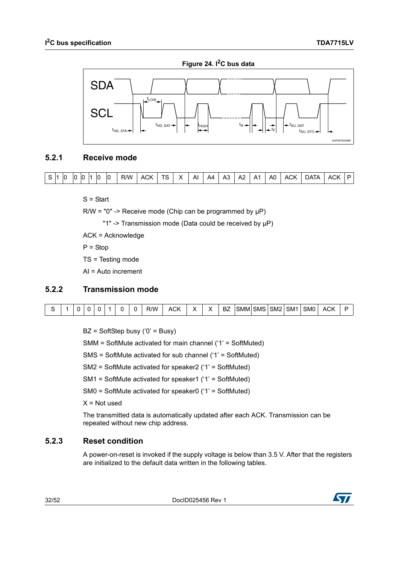<span id="page-31-3"></span>

#### <span id="page-31-0"></span>**5.2.1 Receive mode**



S = Start

 $R/W = "0" \rightarrow$  Receive mode (Chip can be programmed by  $\mu P$ )

"1" -> Transmission mode (Data could be received by µP)

ACK = Acknowledge

 $P =$ Stop

TS = Testing mode

AI = Auto increment

#### <span id="page-31-1"></span>**5.2.2 Transmission mode**

|  |  |  |  | ₹W | $\sim$<br>- ACN |  | DZ | ∍MM | <b>ISMS</b> | SM <sub>2</sub> | SM <sub>1</sub> | SM <sub>0</sub> | $\sim$<br>ACN. |  |
|--|--|--|--|----|-----------------|--|----|-----|-------------|-----------------|-----------------|-----------------|----------------|--|

 $BZ = SoftStep busy('0' = Busy)$ 

SMM = SoftMute activated for main channel ('1' = SoftMuted)

SMS = SoftMute activated for sub channel ('1' = SoftMuted)

SM2 = SoftMute activated for speaker2 ('1' = SoftMuted)

SM1 = SoftMute activated for speaker1 ('1' = SoftMuted)

SM0 = SoftMute activated for speaker0 ('1' = SoftMuted)

 $X = Not$  used

The transmitted data is automatically updated after each ACK. Transmission can be repeated without new chip address.

#### <span id="page-31-2"></span>**5.2.3 Reset condition**

A power-on-reset is invoked if the supply voltage is below than 3.5 V. After that the registers are initialized to the default data written in the following tables.

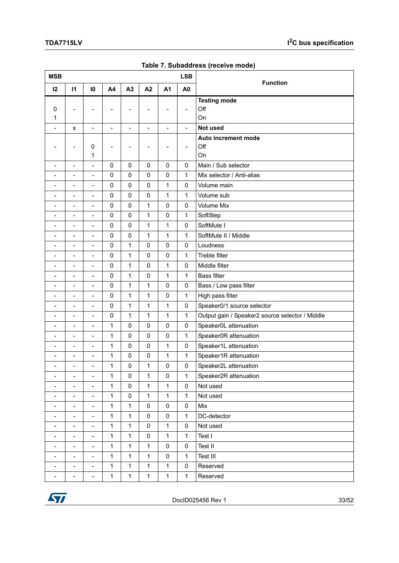<span id="page-32-0"></span>

| <b>MSB</b>               |                              |                          |                          |                          |                   |                | <b>LSB</b>        |                                                 |
|--------------------------|------------------------------|--------------------------|--------------------------|--------------------------|-------------------|----------------|-------------------|-------------------------------------------------|
| 12                       | $\mathbf{I}$                 | 10                       | A4                       | A3                       | A2                | A <sub>1</sub> | A <sub>0</sub>    | <b>Function</b>                                 |
|                          |                              |                          |                          |                          |                   |                |                   | <b>Testing mode</b>                             |
| 0                        | L,                           |                          | -                        | $\overline{a}$           | $\overline{a}$    | $\overline{a}$ | $\qquad \qquad -$ | Off                                             |
| 1                        |                              |                          |                          |                          |                   |                |                   | <b>On</b>                                       |
| $\overline{\phantom{a}}$ | x                            | $\blacksquare$           | $\overline{\phantom{a}}$ | $\overline{\phantom{0}}$ | $\qquad \qquad -$ | $\blacksquare$ | $\blacksquare$    | Not used                                        |
|                          |                              |                          |                          |                          |                   |                |                   | Auto increment mode                             |
|                          | ۰                            | 0<br>1                   | $\overline{a}$           | ۰                        | ۰                 | ۰              | $\qquad \qquad -$ | Off<br>On                                       |
| $\overline{\phantom{a}}$ | $\frac{1}{2}$                | $\overline{a}$           | $\mathbf 0$              | $\pmb{0}$                | 0                 | 0              | 0                 | Main / Sub selector                             |
| $\overline{\phantom{a}}$ | $\overline{a}$               | $\overline{a}$           | $\pmb{0}$                | $\mathbf 0$              | $\mathbf 0$       | $\pmb{0}$      | 1                 | Mix selector / Anti-alias                       |
|                          | $\overline{a}$               | $\overline{\phantom{0}}$ | $\pmb{0}$                | $\pmb{0}$                | $\pmb{0}$         | 1              | 0                 | Volume main                                     |
| $\overline{\phantom{a}}$ | $\overline{a}$               | $\overline{a}$           | $\pmb{0}$                | $\mathsf 0$              | $\mathbf 0$       | 1              | $\mathbf{1}$      | Volume sub                                      |
| ۰                        |                              |                          |                          |                          |                   |                |                   |                                                 |
| ۰                        | $\overline{a}$               | $\overline{\phantom{0}}$ | $\pmb{0}$                | $\pmb{0}$                | $\mathbf{1}$      | $\pmb{0}$      | $\pmb{0}$         | <b>Volume Mix</b>                               |
| ۰                        | $\overline{a}$               | $\overline{\phantom{0}}$ | $\mathbf 0$              | $\pmb{0}$                | $\mathbf{1}$      | $\pmb{0}$      | $\mathbf{1}$      | SoftStep                                        |
| $\overline{\phantom{a}}$ | $\frac{1}{2}$                | $\frac{1}{2}$            | $\pmb{0}$                | 0                        | 1                 | 1              | $\pmb{0}$         | SoftMute I                                      |
|                          | $\overline{a}$               | $\overline{\phantom{0}}$ | $\pmb{0}$                | $\mathbf 0$              | $\mathbf{1}$      | 1              | $\mathbf{1}$      | SoftMute II / Middle                            |
| ۰                        | $\overline{a}$               | $\overline{\phantom{0}}$ | $\pmb{0}$                | $\mathbf{1}$             | $\pmb{0}$         | 0              | $\mathbf 0$       | Loudness                                        |
| ۰                        | $\overline{a}$               | $\overline{\phantom{0}}$ | $\pmb{0}$                | $\mathbf{1}$             | $\mathbf 0$       | $\pmb{0}$      | $\mathbf{1}$      | Treble filter                                   |
| $\qquad \qquad -$        | $\overline{\phantom{a}}$     | $\overline{\phantom{0}}$ | $\pmb{0}$                | 1                        | 0                 | 1              | $\pmb{0}$         | Middle filter                                   |
|                          | $\overline{a}$               | $\overline{a}$           | $\mathbf 0$              | $\mathbf{1}$             | 0                 | $\mathbf{1}$   | $\mathbf{1}$      | <b>Bass filter</b>                              |
|                          | L,                           | $\overline{\phantom{0}}$ | $\pmb{0}$                | $\mathbf{1}$             | $\mathbf{1}$      | 0              | $\pmb{0}$         | Bass / Low pass filter                          |
| ۰                        | $\overline{a}$               |                          | $\pmb{0}$                | $\mathbf{1}$             | $\mathbf{1}$      | $\pmb{0}$      | $\mathbf{1}$      | High pass filter                                |
| $\overline{\phantom{a}}$ | $\frac{1}{2}$                | $\overline{\phantom{0}}$ | $\pmb{0}$                | $\mathbf{1}$             | 1                 | 1              | $\pmb{0}$         | Speaker0/1 source selector                      |
|                          | $\overline{a}$               | $\overline{\phantom{0}}$ | $\pmb{0}$                | $\mathbf{1}$             | $\mathbf{1}$      | 1              | $\mathbf{1}$      | Output gain / Speaker2 source selector / Middle |
|                          | $\overline{a}$               | $\frac{1}{2}$            | 1                        | 0                        | 0                 | 0              | $\pmb{0}$         | Speaker0L attenuation                           |
| ۰                        |                              | $\overline{a}$           | 1                        | $\pmb{0}$                | $\mathbf 0$       | $\pmb{0}$      | $\mathbf{1}$      | Speaker0R attenuation                           |
| ۰                        | $\overline{a}$               | $\overline{\phantom{0}}$ | 1                        | $\pmb{0}$                | $\pmb{0}$         | 1              | $\pmb{0}$         | Speaker1L attenuation                           |
|                          | $\overline{a}$               | $\overline{\phantom{0}}$ | 1                        | $\pmb{0}$                | $\pmb{0}$         | 1              | $\mathbf{1}$      | Speaker1R attenuation                           |
|                          | L,                           | $\overline{\phantom{0}}$ | 1                        | 0                        | $\mathbf{1}$      | 0              | $\pmb{0}$         | Speaker2L attenuation                           |
| ۰                        | $\overline{a}$               | $\overline{a}$           | 1                        | $\pmb{0}$                | 1                 | $\pmb{0}$      | 1                 | Speaker2R attenuation                           |
| $\overline{\phantom{a}}$ | $\frac{1}{2}$                | $\overline{\phantom{a}}$ | 1                        | $\pmb{0}$                | $\mathbf{1}$      | 1              | $\pmb{0}$         | Not used                                        |
| $\blacksquare$           | $\overline{a}$               | $\overline{\phantom{a}}$ | $\mathbf 1$              | $\mathsf 0$              | $\mathbf{1}$      | $\mathbf{1}$   | $\mathbf{1}$      | Not used                                        |
| $\overline{\phantom{a}}$ | $\frac{1}{2}$                | $\overline{\phantom{a}}$ | 1                        | $\mathbf{1}$             | $\pmb{0}$         | $\pmb{0}$      | $\pmb{0}$         | Mix                                             |
| $\overline{\phantom{a}}$ | $\frac{1}{2}$                | $\overline{\phantom{a}}$ | $\mathbf 1$              | $\mathbf{1}$             | $\pmb{0}$         | $\pmb{0}$      | $\mathbf{1}$      | DC-detector                                     |
| $\overline{\phantom{a}}$ | $\blacksquare$               | $\overline{\phantom{a}}$ | 1                        | $\mathbf{1}$             | 0                 | 1              | $\pmb{0}$         | Not used                                        |
| $\blacksquare$           | $\frac{1}{2}$                | $\overline{\phantom{a}}$ | 1                        | $\mathbf{1}$             | $\pmb{0}$         | 1              | $\mathbf{1}$      | Test I                                          |
| $\overline{\phantom{a}}$ | $\frac{1}{2}$                | $\overline{\phantom{a}}$ | 1                        | $\mathbf{1}$             | $\mathbf{1}$      | $\pmb{0}$      | $\pmb{0}$         | Test II                                         |
| $\overline{\phantom{0}}$ | $\overline{a}$               | $\overline{\phantom{a}}$ | $\mathbf 1$              | $\mathbf{1}$             | $\mathbf{1}$      | $\pmb{0}$      | $\mathbf{1}$      | Test III                                        |
| $\overline{\phantom{a}}$ | $\qquad \qquad \blacksquare$ | $\overline{\phantom{a}}$ | $\mathbf 1$              | $\mathbf{1}$             | $\mathbf{1}$      | 1              | $\pmb{0}$         | Reserved                                        |
| $\blacksquare$           | $\frac{1}{2}$                | $\overline{\phantom{a}}$ | $\mathbf{1}$             | $\mathbf{1}$             | $\mathbf{1}$      | $\mathbf{1}$   | $\mathbf{1}$      | Reserved                                        |

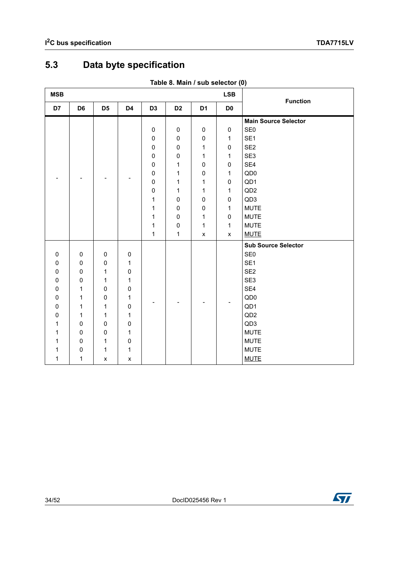## <span id="page-33-0"></span>**5.3 Data byte specification**

<span id="page-33-1"></span>

| <b>MSB</b> |                     |                    |                    |                |                |                    | <b>LSB</b>         | <b>Function</b>             |
|------------|---------------------|--------------------|--------------------|----------------|----------------|--------------------|--------------------|-----------------------------|
| D7         | D <sub>6</sub>      | D <sub>5</sub>     | D4                 | D <sub>3</sub> | D <sub>2</sub> | D <sub>1</sub>     | D <sub>0</sub>     |                             |
|            |                     |                    |                    |                |                |                    |                    | <b>Main Source Selector</b> |
|            |                     |                    |                    | $\pmb{0}$      | $\pmb{0}$      | $\mathbf 0$        | $\mathbf 0$        | SE <sub>0</sub>             |
|            |                     |                    |                    | $\pmb{0}$      | $\pmb{0}$      | $\pmb{0}$          | 1                  | SE <sub>1</sub>             |
|            |                     |                    |                    | $\pmb{0}$      | $\pmb{0}$      | 1                  | $\pmb{0}$          | SE <sub>2</sub>             |
|            |                     |                    |                    | $\pmb{0}$      | $\pmb{0}$      | 1                  | 1                  | SE <sub>3</sub>             |
|            |                     |                    |                    | $\pmb{0}$      | $\mathbf{1}$   | $\pmb{0}$          | $\pmb{0}$          | SE <sub>4</sub>             |
|            |                     |                    |                    | $\pmb{0}$      | 1              | 0                  | 1                  | QD <sub>0</sub>             |
|            |                     |                    |                    | $\pmb{0}$      | 1              | 1                  | $\mathbf 0$        | QD1                         |
|            |                     |                    |                    | $\pmb{0}$      | $\mathbf{1}$   | 1                  | 1                  | QD <sub>2</sub>             |
|            |                     |                    |                    | $\mathbf{1}$   | $\pmb{0}$      | 0                  | 0                  | QD3                         |
|            |                     |                    |                    | 1              | $\pmb{0}$      | $\pmb{0}$          | 1                  | <b>MUTE</b>                 |
|            |                     |                    |                    | 1              | $\pmb{0}$      | 1                  | 0                  | <b>MUTE</b>                 |
|            |                     |                    |                    | 1              | $\pmb{0}$      | $\mathbf 1$        | 1                  | <b>MUTE</b>                 |
|            |                     |                    |                    | $\mathbf 1$    | $\mathbf{1}$   | $\pmb{\mathsf{x}}$ | $\pmb{\mathsf{x}}$ | <b>MUTE</b>                 |
|            |                     |                    |                    |                |                |                    |                    | <b>Sub Source Selector</b>  |
| $\pmb{0}$  | $\mathsf{O}\xspace$ | $\pmb{0}$          | $\pmb{0}$          |                |                |                    |                    | SE <sub>0</sub>             |
| 0          | $\pmb{0}$           | $\pmb{0}$          | 1                  |                |                |                    |                    | SE <sub>1</sub>             |
| $\pmb{0}$  | $\pmb{0}$           | 1                  | $\pmb{0}$          |                |                |                    |                    | SE <sub>2</sub>             |
| $\pmb{0}$  | $\mathsf 0$         | 1                  | $\mathbf{1}$       |                |                |                    |                    | SE3                         |
| 0          | 1                   | $\pmb{0}$          | $\pmb{0}$          |                |                |                    |                    | SE4                         |
| 0          | 1                   | $\pmb{0}$          | 1                  |                |                |                    |                    | QD <sub>0</sub>             |
| 0          | 1                   | 1                  | 0                  |                |                |                    |                    | QD1                         |
| 0          | 1                   | 1                  | 1                  |                |                |                    |                    | QD <sub>2</sub>             |
| 1          | $\mathsf 0$         | $\pmb{0}$          | $\pmb{0}$          |                |                |                    |                    | QD3                         |
| 1          | $\mathbf 0$         | 0                  | $\mathbf{1}$       |                |                |                    |                    | <b>MUTE</b>                 |
| 1          | 0                   | 1                  | 0                  |                |                |                    |                    | <b>MUTE</b>                 |
| 1          | $\pmb{0}$           | 1                  | 1                  |                |                |                    |                    | <b>MUTE</b>                 |
| 1          | 1                   | $\pmb{\mathsf{x}}$ | $\pmb{\mathsf{x}}$ |                |                |                    |                    | <b>MUTE</b>                 |

#### **Table 8. Main / sub selector (0)**

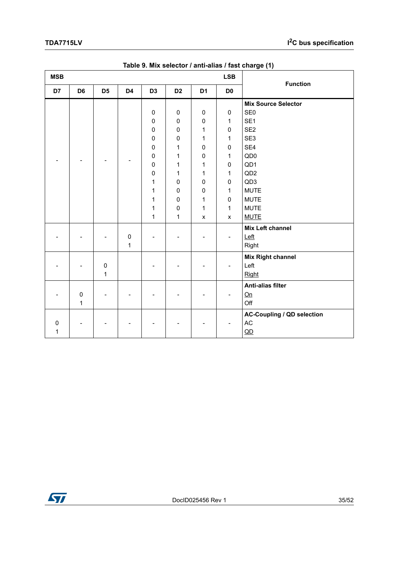<span id="page-34-0"></span>

| <b>MSB</b> |                |                |                |                | <b>LSB</b>     | <b>Function</b> |                |                                   |             |           |   |           |             |
|------------|----------------|----------------|----------------|----------------|----------------|-----------------|----------------|-----------------------------------|-------------|-----------|---|-----------|-------------|
| D7         | D <sub>6</sub> | D <sub>5</sub> | D <sub>4</sub> | D <sub>3</sub> | D <sub>2</sub> | D <sub>1</sub>  | D <sub>0</sub> |                                   |             |           |   |           |             |
|            |                |                |                |                |                |                 |                | <b>Mix Source Selector</b>        |             |           |   |           |             |
|            |                |                |                | $\pmb{0}$      | $\mathsf 0$    | $\pmb{0}$       | $\pmb{0}$      | SE <sub>0</sub>                   |             |           |   |           |             |
|            |                |                |                | $\pmb{0}$      | $\pmb{0}$      | 0               | 1              | SE <sub>1</sub>                   |             |           |   |           |             |
|            |                |                |                | 0              | 0              | 1               | 0              | SE <sub>2</sub>                   |             |           |   |           |             |
|            |                |                |                | $\pmb{0}$      | 0              | 1               | 1              | SE3                               |             |           |   |           |             |
|            |                |                |                | $\pmb{0}$      | 1              | $\pmb{0}$       | 0              | SE4                               |             |           |   |           |             |
|            |                |                |                | $\pmb{0}$      | 1              | $\pmb{0}$       | 1              | QD <sub>0</sub>                   |             |           |   |           |             |
|            |                |                |                | $\pmb{0}$      | 1              | 1               | 0              | QD1                               |             |           |   |           |             |
|            |                |                |                | $\pmb{0}$      | 1              | 1               | 1              | QD <sub>2</sub>                   |             |           |   |           |             |
|            |                |                |                | 1              | $\pmb{0}$      | $\pmb{0}$       | 0              | QD <sub>3</sub>                   |             |           |   |           |             |
|            |                |                |                |                |                |                 |                |                                   | 1           | $\pmb{0}$ | 0 | 1         | <b>MUTE</b> |
|            |                |                |                |                |                |                 |                |                                   | $\mathbf 1$ | $\pmb{0}$ | 1 | $\pmb{0}$ | <b>MUTE</b> |
|            |                |                |                | 1              | $\pmb{0}$      | 1               | 1              | <b>MUTE</b>                       |             |           |   |           |             |
|            |                |                |                | 1              | $\mathbf 1$    | $\pmb{\times}$  | X              | <b>MUTE</b>                       |             |           |   |           |             |
|            |                |                |                |                |                |                 |                | Mix Left channel                  |             |           |   |           |             |
|            |                |                | $\pmb{0}$      |                |                |                 |                | Left                              |             |           |   |           |             |
|            |                |                | $\mathbf{1}$   |                |                |                 |                | Right                             |             |           |   |           |             |
|            |                |                |                |                |                |                 |                | <b>Mix Right channel</b>          |             |           |   |           |             |
|            |                | $\pmb{0}$      |                |                |                |                 |                | Left                              |             |           |   |           |             |
|            |                | $\mathbf{1}$   |                |                |                |                 |                | Right                             |             |           |   |           |             |
|            |                |                |                |                |                |                 |                | <b>Anti-alias filter</b>          |             |           |   |           |             |
|            | $\mathbf 0$    |                |                |                |                |                 |                | Qn                                |             |           |   |           |             |
|            | $\mathbf{1}$   |                |                |                |                |                 |                | Off                               |             |           |   |           |             |
|            |                |                |                |                |                |                 |                | <b>AC-Coupling / QD selection</b> |             |           |   |           |             |
| 0          |                |                |                |                |                |                 |                | AC                                |             |           |   |           |             |
| 1          |                |                |                |                |                |                 |                | QD                                |             |           |   |           |             |

#### **Table 9. Mix selector / anti-alias / fast charge (1)**

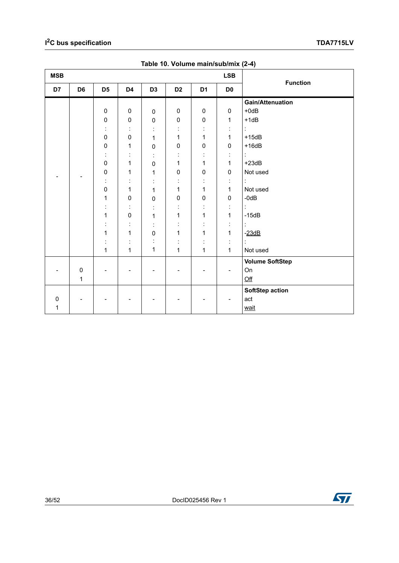<span id="page-35-0"></span>

| <b>MSB</b> |                |                |                |                |                |                      |                          |                         |
|------------|----------------|----------------|----------------|----------------|----------------|----------------------|--------------------------|-------------------------|
| D7         | D <sub>6</sub> | D <sub>5</sub> | D4             | D <sub>3</sub> | D <sub>2</sub> | D <sub>1</sub>       | D <sub>0</sub>           | <b>Function</b>         |
|            |                |                |                |                |                |                      |                          | <b>Gain/Attenuation</b> |
|            |                | $\pmb{0}$      | 0              | $\pmb{0}$      | 0              | 0                    | $\pmb{0}$                | $+0dB$                  |
|            |                | $\pmb{0}$      | $\pmb{0}$      | $\pmb{0}$      | $\pmb{0}$      | $\pmb{0}$            | 1                        | $+1dB$                  |
|            |                | t,             | ÷              | ÷              | ÷              |                      | $\ddot{.}$               | t.                      |
|            |                | $\pmb{0}$      | 0              | 1              | 1              | 1                    | $\mathbf 1$              | $+15dB$                 |
|            |                | $\mathbf 0$    | 1              | $\pmb{0}$      | $\pmb{0}$      | $\mathbf 0$          | $\mathbf 0$              | $+16dB$                 |
|            |                | İ,             | $\ddot{\cdot}$ |                |                | $\ddot{\cdot}$       | ÷                        | t.                      |
|            |                | $\mathbf 0$    | 1              | $\pmb{0}$      | 1              | 1                    | $\mathbf 1$              | $+23dB$                 |
|            |                | $\pmb{0}$      | 1              | 1              | $\pmb{0}$      | $\pmb{0}$            | $\pmb{0}$                | Not used                |
|            |                | t,             | ÷              |                | ÷              | ÷                    | ÷                        | ÷.                      |
|            |                | $\mathbf 0$    | 1              | 1              | 1              | 1                    | $\mathbf{1}$             | Not used                |
|            |                | 1              | $\pmb{0}$      | $\pmb{0}$      | $\pmb{0}$      | $\mathbf 0$          | $\pmb{0}$                | $-0dB$                  |
|            |                |                | ÷              |                | ÷              |                      | $\ddot{.}$               | t.                      |
|            |                | 1              | $\pmb{0}$      | 1              | 1              | 1                    | $\mathbf 1$              | $-15dB$                 |
|            |                | $\ddot{\cdot}$ | $\ddot{\cdot}$ | İ              | $\cdot$        | $\ddot{\phantom{a}}$ | $\ddot{\cdot}$           | t                       |
|            |                | 1              | 1              | $\mathbf 0$    | 1              | 1                    | $\mathbf 1$              | $-23dB$                 |
|            |                |                |                |                |                |                      | $\ddot{\cdot}$           | t.                      |
|            |                | $\mathbf{1}$   | 1              | 1              | 1              | 1                    | $\mathbf{1}$             | Not used                |
|            |                |                |                |                |                |                      |                          | <b>Volume SoftStep</b>  |
|            | $\pmb{0}$      |                |                |                |                |                      | $\overline{\phantom{a}}$ | On                      |
|            | 1              |                |                |                |                |                      |                          | $Off$                   |
|            |                |                |                |                |                |                      |                          | <b>SoftStep action</b>  |
| $\pmb{0}$  |                |                |                |                |                |                      |                          | act                     |
| 1          |                |                |                |                |                |                      |                          | wait                    |

**Table 10. Volume main/sub/mix (2-4)**

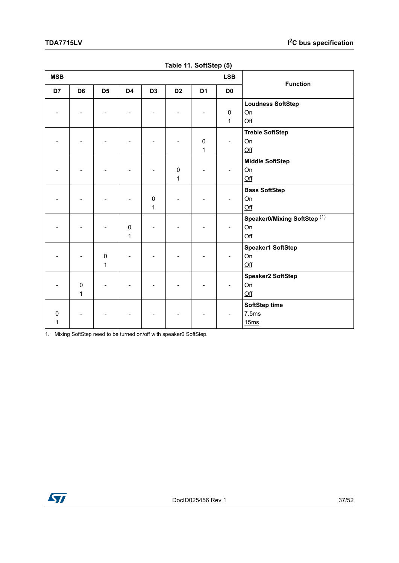<span id="page-36-0"></span>

| <b>MSB</b> | <b>LSB</b>     |                |                |                |                |                |                | <b>Function</b>              |
|------------|----------------|----------------|----------------|----------------|----------------|----------------|----------------|------------------------------|
| D7         | D <sub>6</sub> | D <sub>5</sub> | D <sub>4</sub> | D <sub>3</sub> | D <sub>2</sub> | D <sub>1</sub> | D <sub>0</sub> |                              |
|            |                |                |                |                |                |                |                | <b>Loudness SoftStep</b>     |
|            |                |                |                |                |                |                | $\pmb{0}$      | On                           |
|            |                |                |                |                |                |                | 1              | $\underline{\text{Off}}$     |
|            |                |                |                |                |                |                |                | <b>Treble SoftStep</b>       |
|            |                |                |                |                |                | $\pmb{0}$      | $\overline{a}$ | On                           |
|            |                |                |                |                |                | 1              |                | $Off$                        |
|            |                |                |                |                |                |                |                | <b>Middle SoftStep</b>       |
|            |                |                |                |                | $\mathbf 0$    |                |                | On                           |
|            |                |                |                |                | 1              |                |                | $Off$                        |
|            |                |                |                |                |                |                |                | <b>Bass SoftStep</b>         |
|            |                |                |                | $\pmb{0}$      |                |                |                | On                           |
|            |                |                |                | $\mathbf 1$    |                |                |                | $Off$                        |
|            |                |                |                |                |                |                |                | Speaker0/Mixing SoftStep (1) |
|            |                |                | 0              |                |                |                |                | On                           |
|            |                |                | $\mathbf 1$    |                |                |                |                | Qff                          |
|            |                |                |                |                |                |                |                | <b>Speaker1 SoftStep</b>     |
|            |                | $\mathbf 0$    |                |                |                |                |                | On                           |
|            |                | $\mathbf{1}$   |                |                |                |                |                | $Off$                        |
|            |                |                |                |                |                |                |                | <b>Speaker2 SoftStep</b>     |
|            | $\pmb{0}$      |                |                |                |                |                |                | On                           |
|            | 1              |                |                |                |                |                |                | Qff                          |
|            |                |                |                |                |                |                |                | SoftStep time                |
| 0          |                |                |                |                |                |                |                | 7.5ms                        |
| 1          |                |                |                |                |                |                |                | 15ms                         |

|  |  | Table 11. SoftStep (5) |  |
|--|--|------------------------|--|
|--|--|------------------------|--|

1. Mixing SoftStep need to be turned on/off with speaker0 SoftStep.

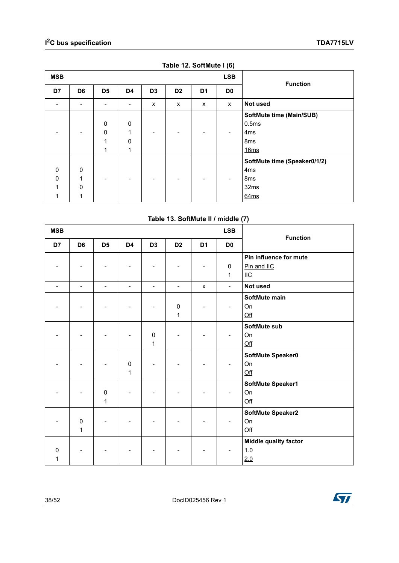<span id="page-37-0"></span>

| <b>MSB</b>         |                                 |                                      |                                      |                | <b>Function</b> |                |                |                                                                                    |  |  |  |  |  |
|--------------------|---------------------------------|--------------------------------------|--------------------------------------|----------------|-----------------|----------------|----------------|------------------------------------------------------------------------------------|--|--|--|--|--|
| D7                 | D <sub>6</sub>                  | D <sub>5</sub>                       | D <sub>4</sub>                       | D <sub>3</sub> | D <sub>2</sub>  | D <sub>1</sub> | D <sub>0</sub> |                                                                                    |  |  |  |  |  |
|                    |                                 | $\overline{\phantom{0}}$             | $\qquad \qquad \blacksquare$         | X              | X               | X              | X              | Not used                                                                           |  |  |  |  |  |
|                    |                                 | $\mathbf 0$<br>$\mathbf 0$<br>1<br>1 | $\mathbf 0$<br>1<br>$\mathbf 0$<br>1 |                |                 |                |                | SoftMute time (Main/SUB)<br>0.5ms<br>4 <sub>ms</sub><br>8 <sub>ms</sub><br>16ms    |  |  |  |  |  |
| 0<br>$\Omega$<br>1 | $\mathbf 0$<br>1<br>$\mathbf 0$ |                                      | ٠                                    |                |                 | ۰              |                | SoftMute time (Speaker0/1/2)<br>4 <sub>ms</sub><br>8 <sub>ms</sub><br>32ms<br>64ms |  |  |  |  |  |

**Table 12. SoftMute I (6)**

|  |  | Table 13. SoftMute II / middle (7) |  |
|--|--|------------------------------------|--|
|--|--|------------------------------------|--|

<span id="page-37-1"></span>

| <b>MSB</b>    |                          |                           |                           |                           |                           |                          | <b>LSB</b>                |                                                     |
|---------------|--------------------------|---------------------------|---------------------------|---------------------------|---------------------------|--------------------------|---------------------------|-----------------------------------------------------|
| D7            | D <sub>6</sub>           | D <sub>5</sub>            | D <sub>4</sub>            | D <sub>3</sub>            | D <sub>2</sub>            | D <sub>1</sub>           | D <sub>0</sub>            | <b>Function</b>                                     |
|               |                          |                           |                           |                           |                           | $\overline{\phantom{a}}$ | $\pmb{0}$<br>$\mathbf{1}$ | Pin influence for mute<br>Pin and IIC<br><b>IIC</b> |
| ۳             | $\overline{\phantom{a}}$ | $\overline{\phantom{a}}$  | $\overline{\phantom{0}}$  | $\overline{\phantom{a}}$  | $\overline{\phantom{a}}$  | $\pmb{\mathsf{X}}$       | $\blacksquare$            | Not used                                            |
|               |                          |                           |                           |                           | $\pmb{0}$<br>$\mathbf{1}$ |                          |                           | SoftMute main<br>On<br>Qff                          |
|               |                          |                           |                           | $\pmb{0}$<br>$\mathbf{1}$ |                           |                          |                           | SoftMute sub<br>On<br>Qff                           |
|               |                          |                           | $\pmb{0}$<br>$\mathbf{1}$ |                           |                           |                          |                           | SoftMute Speaker0<br>On<br>Qff                      |
|               |                          | $\pmb{0}$<br>$\mathbf{1}$ |                           |                           |                           |                          |                           | SoftMute Speaker1<br>On<br>Qff                      |
|               | $\pmb{0}$<br>1           |                           |                           |                           |                           |                          |                           | SoftMute Speaker2<br>On<br>Qff                      |
| $\Omega$<br>1 |                          |                           |                           |                           |                           |                          |                           | <b>Middle quality factor</b><br>$1.0$<br>2.0        |

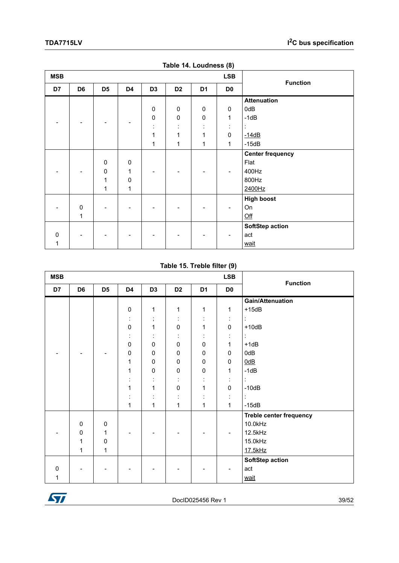<span id="page-38-0"></span>

|            |                |                |              |                |                |                | $\cdot$        |                         |
|------------|----------------|----------------|--------------|----------------|----------------|----------------|----------------|-------------------------|
| <b>MSB</b> |                |                |              |                |                |                | <b>LSB</b>     |                         |
| D7         | D <sub>6</sub> | D <sub>5</sub> | D4           | D <sub>3</sub> | D <sub>2</sub> | D <sub>1</sub> | D <sub>0</sub> | <b>Function</b>         |
|            |                |                |              |                |                |                |                | <b>Attenuation</b>      |
|            |                |                |              | 0              | $\pmb{0}$      | $\pmb{0}$      | 0              | 0dB                     |
|            |                |                |              | $\pmb{0}$      | $\pmb{0}$      | 0              | $\mathbf{1}$   | $-1dB$                  |
|            |                |                |              | ÷              | $\bullet$      | ÷              | ÷              | ÷                       |
|            |                |                |              | 1              | 1              | 1              | $\mathbf 0$    | $-14dB$                 |
|            |                |                |              | 1              | 1              | 1              | $\mathbf{1}$   | $-15dB$                 |
|            |                |                |              |                |                |                |                | <b>Center frequency</b> |
|            |                | $\pmb{0}$      | $\pmb{0}$    |                |                |                |                | Flat                    |
|            |                | $\pmb{0}$      | $\mathbf{1}$ |                |                |                |                | 400Hz                   |
|            |                | $\mathbf{1}$   | $\pmb{0}$    |                |                |                |                | 800Hz                   |
|            |                | 1              | 1            |                |                |                |                | 2400Hz                  |
|            |                |                |              |                |                |                |                | <b>High boost</b>       |
|            | $\pmb{0}$      |                |              |                |                |                |                | On                      |
|            | 1              |                |              |                |                |                |                | Qff                     |
|            |                |                |              |                |                |                |                | <b>SoftStep action</b>  |
| $\Omega$   |                |                |              |                |                |                |                | act                     |
| 1          |                |                |              |                |                |                |                | wait                    |

**Table 14. Loudness (8)**

**Table 15. Treble filter (9)**

<span id="page-38-1"></span>

| <b>MSB</b>   |                |                |                |                     | <b>LSB</b>     | <b>Function</b> |                      |                                |  |  |
|--------------|----------------|----------------|----------------|---------------------|----------------|-----------------|----------------------|--------------------------------|--|--|
| D7           | D <sub>6</sub> | D <sub>5</sub> | D4             | D <sub>3</sub>      | D <sub>2</sub> | D <sub>1</sub>  | D <sub>0</sub>       |                                |  |  |
|              |                |                |                |                     |                |                 |                      | <b>Gain/Attenuation</b>        |  |  |
|              |                |                | $\pmb{0}$      | $\mathbf{1}$        | 1              | $\mathbf{1}$    | 1                    | $+15dB$                        |  |  |
|              |                |                | ٠<br>$\bullet$ | $\,$                | ٠<br>$\cdot$   | $\blacksquare$  | ÷                    | ÷                              |  |  |
|              |                |                | $\pmb{0}$      | 1                   | $\mathbf 0$    | 1               | 0                    | $+10dB$                        |  |  |
|              |                |                | $\blacksquare$ | $\bullet$           | $\blacksquare$ | $\blacksquare$  | $\ddot{\phantom{a}}$ | t                              |  |  |
|              |                |                | $\mathsf 0$    | $\pmb{0}$           | $\mathbf 0$    | $\mathbf 0$     | 1                    | $+1dB$                         |  |  |
|              |                |                | 0              | 0                   | $\pmb{0}$      | 0               | 0                    | 0dB                            |  |  |
|              |                |                | 1              | $\pmb{0}$           | $\pmb{0}$      | $\pmb{0}$       | 0                    | $\underline{0dB}$              |  |  |
|              |                |                | 1              | $\pmb{0}$           | $\pmb{0}$      | 0               | $\mathbf{1}$         | $-1dB$                         |  |  |
|              |                |                | t              | ٠<br>$\blacksquare$ | ٠<br>$\cdot$   | $\ddot{\cdot}$  | $\ddot{\phantom{a}}$ | t                              |  |  |
|              |                |                | 1              | 1                   | $\pmb{0}$      | 1               | 0                    | $-10dB$                        |  |  |
|              |                |                | t              | $\blacksquare$      | ÷              | ٠<br>$\cdot$    | ÷                    | ÷                              |  |  |
|              |                |                | $\mathbf{1}$   | 1                   | 1              | 1               | $\mathbf{1}$         | $-15dB$                        |  |  |
|              |                |                |                |                     |                |                 |                      | <b>Treble center frequency</b> |  |  |
|              | $\pmb{0}$      | $\mathbf 0$    |                |                     |                |                 |                      | 10.0kHz                        |  |  |
|              | $\pmb{0}$      | 1              |                |                     |                |                 |                      | 12.5kHz                        |  |  |
|              | $\mathbf{1}$   | 0              |                |                     |                |                 |                      | 15.0kHz                        |  |  |
|              | $\mathbf{1}$   | 1              |                |                     |                |                 |                      | 17.5kHz                        |  |  |
|              |                |                |                |                     |                |                 |                      | <b>SoftStep action</b>         |  |  |
| $\mathbf{0}$ |                |                |                |                     |                |                 |                      | act                            |  |  |
| 1            |                |                |                |                     |                |                 |                      | wait                           |  |  |

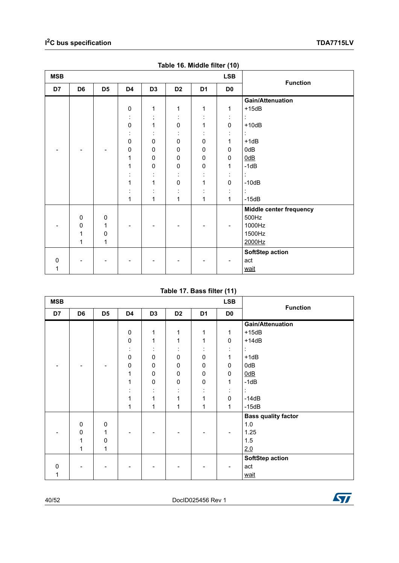<span id="page-39-0"></span>

| <b>MSB</b> |                |                |                |                |                |                | $\overline{\phantom{a}}$<br><b>LSB</b> | <b>Function</b>         |
|------------|----------------|----------------|----------------|----------------|----------------|----------------|----------------------------------------|-------------------------|
| D7         | D <sub>6</sub> | D <sub>5</sub> | D4             | D <sub>3</sub> | D <sub>2</sub> | D <sub>1</sub> | D <sub>0</sub>                         |                         |
|            |                |                |                |                |                |                |                                        | Gain/Attenuation        |
|            |                |                | $\pmb{0}$      | 1              | 1              | 1              | 1                                      | $+15dB$                 |
|            |                |                | $\blacksquare$ | $\,$           | $\blacksquare$ |                | $\ddot{\phantom{a}}$                   | ÷                       |
|            |                |                | $\pmb{0}$      | 1              | $\pmb{0}$      | 1              | $\pmb{0}$                              | $+10dB$                 |
|            |                |                |                |                |                |                | $\blacksquare$                         | ÷                       |
|            |                |                | $\pmb{0}$      | $\pmb{0}$      | $\pmb{0}$      | $\pmb{0}$      | $\mathbf{1}$                           | $+1dB$                  |
|            |                |                | 0              | $\pmb{0}$      | $\pmb{0}$      | $\pmb{0}$      | 0                                      | 0dB                     |
|            |                |                | 1              | $\pmb{0}$      | $\pmb{0}$      | 0              | 0                                      | $\underline{0dB}$       |
|            |                |                | 1              | $\pmb{0}$      | $\pmb{0}$      | $\pmb{0}$      | $\mathbf{1}$                           | $-1dB$                  |
|            |                |                |                | $\blacksquare$ | ÷              | ÷              | ÷                                      | ÷                       |
|            |                |                | 1              | 1              | $\pmb{0}$      | 1              | $\pmb{0}$                              | $-10dB$                 |
|            |                |                |                |                | $\blacksquare$ |                | $\cdot$                                | ÷                       |
|            |                |                | 1              | 1              | 1              | 1              | $\mathbf{1}$                           | $-15dB$                 |
|            |                |                |                |                |                |                |                                        | Middle center frequency |
|            | $\pmb{0}$      | $\pmb{0}$      |                |                |                |                |                                        | 500Hz                   |
|            | 0              | 1              |                |                |                |                |                                        | 1000Hz                  |
|            | 1              | 0              |                |                |                |                |                                        | 1500Hz                  |
|            | 1              | 1              |                |                |                |                |                                        | 2000Hz                  |
|            |                |                |                |                |                |                |                                        | SoftStep action         |
| $\Omega$   |                |                |                |                |                |                |                                        | act                     |
| 1          |                |                |                |                |                |                |                                        | wait                    |

| Table 16. Middle filter (10) |
|------------------------------|
|------------------------------|

#### **Table 17. Bass filter (11)**

<span id="page-39-1"></span>

| <b>MSB</b>   |                |                |              |                |                |                | <b>LSB</b>     | <b>Function</b>            |
|--------------|----------------|----------------|--------------|----------------|----------------|----------------|----------------|----------------------------|
| D7           | D <sub>6</sub> | D <sub>5</sub> | D4           | D <sub>3</sub> | D <sub>2</sub> | D1             | D <sub>0</sub> |                            |
|              |                |                |              |                |                |                |                | <b>Gain/Attenuation</b>    |
|              |                |                | $\pmb{0}$    | 1              | 1              | 1              | 1              | $+15dB$                    |
|              |                |                | $\mathsf 0$  | 1              | 1              | 1              | $\pmb{0}$      | $+14dB$                    |
|              |                |                | ٠<br>$\cdot$ |                |                |                | ٠<br>$\cdot$   | t                          |
|              |                |                | $\mathsf 0$  | $\mathbf 0$    | $\pmb{0}$      | $\pmb{0}$      | 1              | $+1dB$                     |
|              |                |                | $\mathsf 0$  | $\mathbf 0$    | $\pmb{0}$      | $\pmb{0}$      | 0              | 0dB                        |
|              |                |                | 1            | 0              | 0              | $\mathbf 0$    | 0              | 0dB                        |
|              |                |                | 1            | $\mathbf 0$    | $\pmb{0}$      | $\pmb{0}$      | 1              | $-1dB$                     |
|              |                |                | $\cdot$      |                |                | ٠<br>$\bullet$ | ٠<br>$\bullet$ | ÷                          |
|              |                |                | 1            | 1              | 1              | 1              | 0              | $-14dB$                    |
|              |                |                | 1            | 1              | 1              | 1              | 1              | $-15dB$                    |
|              |                |                |              |                |                |                |                | <b>Bass quality factor</b> |
|              | $\mathbf 0$    | $\pmb{0}$      |              |                |                |                |                | 1.0                        |
|              | 0              | 1              |              |                |                |                |                | 1.25                       |
|              | 1              | 0              |              |                |                |                |                | 1.5                        |
|              | 1              | 1              |              |                |                |                |                | 2.0                        |
|              |                |                |              |                |                |                |                | SoftStep action            |
| $\mathbf{0}$ |                |                |              |                |                |                |                | act                        |
|              |                |                |              |                |                |                |                | wait                       |

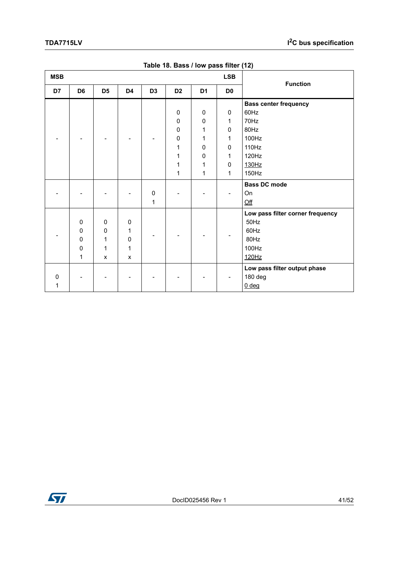<span id="page-40-0"></span>

| <b>MSB</b> |                                                      |                                            |                                        |                |                                                     |                                                  | <b>LSB</b>                                                     | <b>Function</b>                                                                          |
|------------|------------------------------------------------------|--------------------------------------------|----------------------------------------|----------------|-----------------------------------------------------|--------------------------------------------------|----------------------------------------------------------------|------------------------------------------------------------------------------------------|
| D7         | D <sub>6</sub>                                       | D <sub>5</sub>                             | D4                                     | D <sub>3</sub> | D <sub>2</sub>                                      | D <sub>1</sub>                                   | D <sub>0</sub>                                                 |                                                                                          |
|            |                                                      |                                            |                                        |                | $\mathbf 0$<br>0<br>$\mathbf 0$<br>0<br>1<br>1<br>1 | $\mathbf 0$<br>0<br>1<br>1<br>$\Omega$<br>0<br>1 | 0<br>$\mathbf 1$<br>0<br>1<br>$\mathbf{0}$<br>1<br>$\mathbf 0$ | <b>Bass center frequency</b><br>60Hz<br>70Hz<br>80Hz<br>100Hz<br>110Hz<br>120Hz<br>130Hz |
|            |                                                      |                                            |                                        |                | 1                                                   | 1                                                | 1                                                              | 150Hz                                                                                    |
|            |                                                      |                                            |                                        | $\pmb{0}$<br>1 |                                                     |                                                  |                                                                | <b>Bass DC mode</b><br>On<br>Qff                                                         |
|            | $\Omega$<br>$\mathbf 0$<br>$\Omega$<br>$\Omega$<br>1 | $\mathbf 0$<br>0<br>1<br>$\mathbf{1}$<br>X | $\mathbf 0$<br>1<br>$\Omega$<br>1<br>X |                |                                                     |                                                  |                                                                | Low pass filter corner frequency<br>50Hz<br>60Hz<br>80Hz<br>100Hz<br>120Hz               |
| 0<br>1     |                                                      |                                            |                                        |                |                                                     |                                                  |                                                                | Low pass filter output phase<br>180 deg<br>$0$ deg                                       |

**Table 18. Bass / low pass filter (12)**

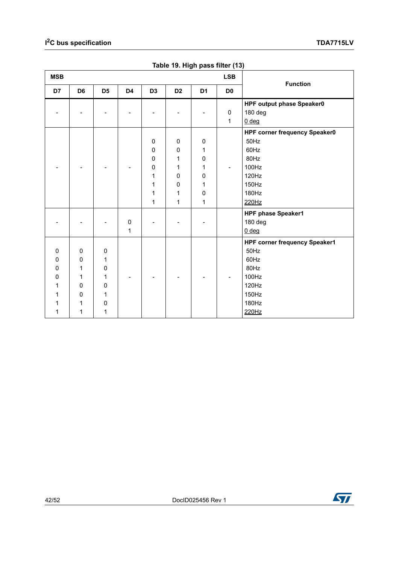<span id="page-41-0"></span>

| <b>MSB</b> |                |                |                |                |                |                | <b>LSB</b>     | <b>Function</b>                      |
|------------|----------------|----------------|----------------|----------------|----------------|----------------|----------------|--------------------------------------|
| D7         | D <sub>6</sub> | D <sub>5</sub> | D <sub>4</sub> | D <sub>3</sub> | D <sub>2</sub> | D <sub>1</sub> | D <sub>0</sub> |                                      |
|            |                |                |                |                |                |                |                | HPF output phase Speaker0            |
|            |                |                |                |                |                |                | 0              | 180 deg                              |
|            |                |                |                |                |                |                | $\mathbf{1}$   | $0$ deg                              |
|            |                |                |                |                |                |                |                | HPF corner frequency Speaker0        |
|            |                |                |                | $\pmb{0}$      | $\pmb{0}$      | $\mathbf 0$    |                | 50Hz                                 |
|            |                |                |                | 0              | $\mathbf 0$    | 1              |                | 60Hz                                 |
|            |                |                |                | 0              | 1              | 0              |                | 80Hz                                 |
|            |                |                |                | 0              | 1              | 1              |                | 100Hz                                |
|            |                |                |                | 1              | 0              | $\mathbf 0$    |                | 120Hz                                |
|            |                |                |                | 1              | 0              | 1              |                | 150Hz                                |
|            |                |                |                | 1              | 1              | 0              |                | 180Hz                                |
|            |                |                |                | 1              | 1              | 1              |                | 220Hz                                |
|            |                |                |                |                |                |                |                | HPF phase Speaker1                   |
|            |                |                | $\pmb{0}$      |                |                |                |                | 180 deg                              |
|            |                |                | 1              |                |                |                |                | $0$ deg                              |
|            |                |                |                |                |                |                |                | <b>HPF corner frequency Speaker1</b> |
| 0          | $\mathbf 0$    | $\mathbf 0$    |                |                |                |                |                | 50Hz                                 |
| 0          | $\Omega$       | 1              |                |                |                |                |                | 60Hz                                 |
| 0          | 1              | 0              |                |                |                |                |                | 80Hz                                 |
| 0          | 1              | 1              |                |                |                |                |                | 100Hz                                |
| 1          | $\mathbf{0}$   | $\mathbf 0$    |                |                |                |                |                | 120Hz                                |
| 1          | $\Omega$       | 1              |                |                |                |                |                | 150Hz                                |
| 1          | 1              | 0              |                |                |                |                |                | 180Hz                                |
| 1          | 1              | 1              |                |                |                |                |                | 220Hz                                |

**Table 19. High pass filter (13)**

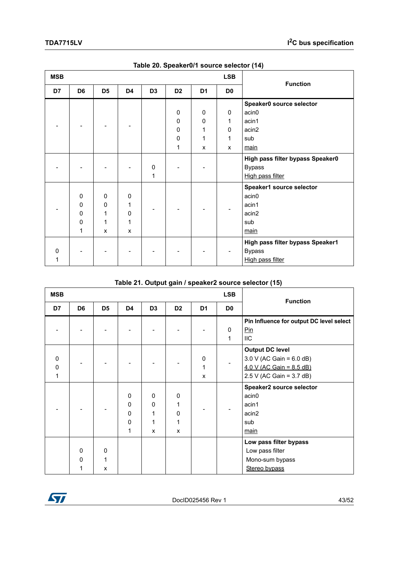<span id="page-42-0"></span>

| <b>MSB</b> |                |                |                |                |                |                | <b>LSB</b>     | <b>Function</b>                  |
|------------|----------------|----------------|----------------|----------------|----------------|----------------|----------------|----------------------------------|
| D7         | D <sub>6</sub> | D <sub>5</sub> | D <sub>4</sub> | D <sub>3</sub> | D <sub>2</sub> | D <sub>1</sub> | D <sub>0</sub> |                                  |
|            |                |                |                |                |                |                |                | Speaker0 source selector         |
|            |                |                |                |                | 0              | 0              | $\mathbf 0$    | acin <sub>0</sub>                |
|            |                |                |                |                | 0              | 0              | 1              | acin1                            |
|            |                |                |                |                | 0              | 1              | $\Omega$       | acin2                            |
|            |                |                |                |                | $\mathbf 0$    | 1              | 1              | sub                              |
|            |                |                |                |                | 1              | X              | X              | main                             |
|            |                |                |                |                |                |                |                | High pass filter bypass Speaker0 |
|            |                |                |                | 0              |                |                |                | <b>Bypass</b>                    |
|            |                |                |                | 1              |                |                |                | High pass filter                 |
|            |                |                |                |                |                |                |                | Speaker1 source selector         |
|            | 0              | $\mathbf 0$    | 0              |                |                |                |                | acin <sub>0</sub>                |
|            | 0              | $\mathbf 0$    | 1              |                |                |                |                | acin1                            |
|            | 0              | 1              | 0              |                |                |                |                | acin2                            |
|            | $\mathbf{0}$   | 1              | 1              |                |                |                |                | sub                              |
|            | 1              | X              | X              |                |                |                |                | main                             |
|            |                |                |                |                |                |                |                | High pass filter bypass Speaker1 |
| O          |                |                |                |                |                |                |                | <b>Bypass</b>                    |
|            |                |                |                |                |                |                |                | High pass filter                 |

| Table 20. Speaker0/1 source selector (14) |  |
|-------------------------------------------|--|
|                                           |  |

|  | Table 21. Output gain / speaker2 source selector (15) |  |  |
|--|-------------------------------------------------------|--|--|
|  |                                                       |  |  |

<span id="page-42-1"></span>

| <b>MSB</b>         |                          |                |                                           |                                 |                                           |                | <b>LSB</b>     |                                                                                                                |
|--------------------|--------------------------|----------------|-------------------------------------------|---------------------------------|-------------------------------------------|----------------|----------------|----------------------------------------------------------------------------------------------------------------|
| D7                 | D <sub>6</sub>           | D <sub>5</sub> | D <sub>4</sub>                            | D <sub>3</sub>                  | D <sub>2</sub>                            | D <sub>1</sub> | D <sub>0</sub> | <b>Function</b>                                                                                                |
|                    |                          |                |                                           |                                 |                                           |                | 0              | Pin Influence for output DC level select<br>Pin                                                                |
|                    |                          |                |                                           |                                 |                                           |                | 1              | <b>IIC</b>                                                                                                     |
| $\Omega$<br>0<br>1 |                          |                |                                           |                                 |                                           | 0<br>1<br>X    |                | <b>Output DC level</b><br>$3.0 V (AC Gain = 6.0 dB)$<br>4.0 V (AC Gain = 8.5 dB)<br>$2.5$ V (AC Gain = 3.7 dB) |
|                    |                          |                | 0<br>0<br>$\mathbf 0$<br>$\mathbf 0$<br>1 | 0<br>$\mathbf 0$<br>1<br>1<br>X | $\mathbf 0$<br>1<br>$\mathbf 0$<br>1<br>X |                |                | Speaker2 source selector<br>acin <sub>0</sub><br>acin1<br>acin2<br>sub<br>main                                 |
|                    | $\mathbf{0}$<br>$\Omega$ | 0<br>1<br>X    |                                           |                                 |                                           |                |                | Low pass filter bypass<br>Low pass filter<br>Mono-sum bypass<br>Stereo bypass                                  |

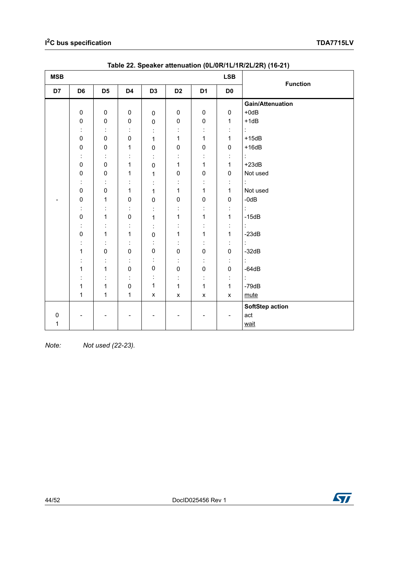<span id="page-43-0"></span>

| <b>MSB</b> |                |                |              |                      |                    | <b>LSB</b>               | <b>Function</b>      |                         |
|------------|----------------|----------------|--------------|----------------------|--------------------|--------------------------|----------------------|-------------------------|
| D7         | D <sub>6</sub> | D <sub>5</sub> | D4           | D <sub>3</sub>       | D <sub>2</sub>     | D <sub>1</sub>           | D <sub>0</sub>       |                         |
|            |                |                |              |                      |                    |                          |                      | <b>Gain/Attenuation</b> |
|            | $\pmb{0}$      | $\pmb{0}$      | $\pmb{0}$    | $\mathsf 0$          | $\pmb{0}$          | $\pmb{0}$                | $\pmb{0}$            | $+0$ d $B$              |
|            | $\pmb{0}$      | $\pmb{0}$      | $\pmb{0}$    | $\pmb{0}$            | $\pmb{0}$          | $\mathsf 0$              | 1                    | $+1dB$                  |
|            | ÷              | t              |              |                      | $\bullet$          | $\blacksquare$           | $\ddot{\phantom{a}}$ | t.                      |
|            | $\mathbf 0$    | $\pmb{0}$      | $\pmb{0}$    | 1                    | 1                  | 1                        | 1                    | $+15dB$                 |
|            | $\pmb{0}$      | 0              | 1            | $\mathbf 0$          | $\pmb{0}$          | $\pmb{0}$                | $\mathbf 0$          | $+16dB$                 |
|            | ÷              | ÷              | İ,           | t                    | $\bullet$          | ÷                        | $\ddot{\cdot}$       | ł,                      |
|            | $\mathbf 0$    | 0              | 1            | $\pmb{0}$            | 1                  | $\mathbf 1$              | 1                    | $+23dB$                 |
|            | $\pmb{0}$      | $\pmb{0}$      | 1            | 1                    | $\pmb{0}$          | $\pmb{0}$                | $\pmb{0}$            | Not used                |
|            | ÷              | ÷              | İ,           |                      | $\blacksquare$     | t,                       | İ,                   | ÷                       |
|            | $\pmb{0}$      | $\pmb{0}$      | 1            | 1                    | 1                  | 1                        | 1                    | Not used                |
| ٠          | $\pmb{0}$      | 1              | $\pmb{0}$    | $\mathbf 0$          | $\pmb{0}$          | $\pmb{0}$                | $\pmb{0}$            | $-0dB$                  |
|            | $\ddot{\cdot}$ | t              | İ.           | t                    | ÷                  | ÷                        | $\ddot{\cdot}$       | ł,                      |
|            | $\mathbf 0$    | $\mathbf{1}$   | $\mathbf 0$  | 1                    | 1                  | 1                        | 1                    | $-15dB$                 |
|            | ÷              | t              | İ,           | ÷                    | ÷                  | ÷                        | $\ddot{\cdot}$       | ł,                      |
|            | $\mathsf 0$    | 1              | 1            | $\pmb{0}$            | 1                  | 1                        | 1                    | $-23dB$                 |
|            | İ              | ÷              | ÷            | $\ddot{\phantom{a}}$ | $\blacksquare$     | $\blacksquare$           | $\ddot{\phantom{a}}$ | t,                      |
|            | 1              | $\mathbf 0$    | $\mathbf 0$  | $\pmb{0}$            | $\pmb{0}$          | $\mathsf 0$              | $\pmb{0}$            | $-32dB$                 |
|            |                | t              | ÷            |                      | t                  | ÷                        | $\ddot{\phantom{a}}$ | Ì.                      |
|            | 1              | $\mathbf{1}$   | $\mathbf 0$  | $\pmb{0}$            | $\pmb{0}$          | $\mathsf 0$              | $\pmb{0}$            | $-64dB$                 |
|            |                | t              | ÷            | İ,                   | ÷                  | ÷                        | $\ddot{\phantom{a}}$ | ÷.                      |
|            | 1              | 1              | $\pmb{0}$    | $\mathbf{1}$         | $\mathbf{1}$       | $\mathbf 1$              | 1                    | $-79dB$                 |
|            | 1              | $\mathbf{1}$   | $\mathbf{1}$ | $\pmb{\mathsf{x}}$   | $\pmb{\mathsf{x}}$ | $\pmb{\mathsf{x}}$       | $\pmb{\mathsf{X}}$   | mute                    |
|            |                |                |              |                      |                    |                          |                      | SoftStep action         |
| 0          |                |                | -            |                      |                    | $\overline{\phantom{a}}$ | $\overline{a}$       | act                     |
| 1          |                |                |              |                      |                    |                          |                      | wait                    |

**Table 22. Speaker attenuation (0L/0R/1L/1R/2L/2R) (16-21)**

*Note: Not used (22-23).*

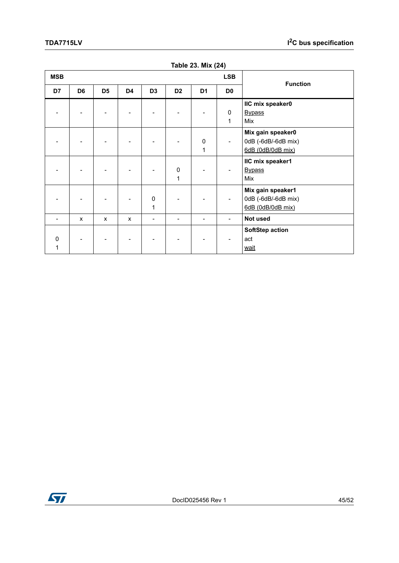<span id="page-44-0"></span>

| <b>MSB</b>    |                |                |                |                          |                  |                   | <b>LSB</b>     | <b>Function</b>                                               |
|---------------|----------------|----------------|----------------|--------------------------|------------------|-------------------|----------------|---------------------------------------------------------------|
| D7            | D <sub>6</sub> | D <sub>5</sub> | D <sub>4</sub> | D <sub>3</sub>           | D <sub>2</sub>   | D <sub>1</sub>    | D <sub>0</sub> |                                                               |
|               |                |                |                |                          |                  |                   | 0<br>1         | IIC mix speaker0<br><b>Bypass</b><br>Mix                      |
|               |                |                |                |                          |                  | 0<br>$\mathbf{1}$ |                | Mix gain speaker0<br>0dB (-6dB/-6dB mix)<br>6dB (0dB/0dB mix) |
|               |                |                |                |                          | $\mathbf 0$<br>1 |                   |                | IIC mix speaker1<br><b>Bypass</b><br>Mix                      |
|               |                |                |                | 0<br>1                   |                  |                   |                | Mix gain speaker1<br>0dB (-6dB/-6dB mix)<br>6dB (0dB/0dB mix) |
|               | X              | X              | $\mathsf{x}$   | $\overline{\phantom{a}}$ |                  |                   |                | Not used                                                      |
| $\Omega$<br>1 |                |                |                |                          |                  |                   |                | <b>SoftStep action</b><br>act<br>wait                         |

**Table 23. Mix (24)**

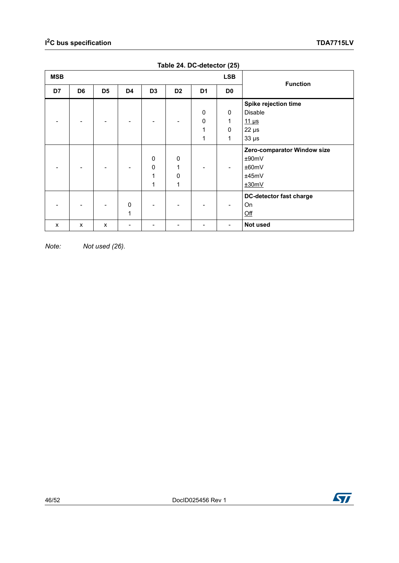<span id="page-45-0"></span>

| <b>MSB</b> |                |                |                |                |                |                | <b>LSB</b>     |                                |
|------------|----------------|----------------|----------------|----------------|----------------|----------------|----------------|--------------------------------|
| D7         | D <sub>6</sub> | D <sub>5</sub> | D <sub>4</sub> | D <sub>3</sub> | D <sub>2</sub> | D <sub>1</sub> | D <sub>0</sub> | <b>Function</b>                |
|            |                |                |                |                |                |                |                | Spike rejection time           |
|            |                |                |                |                |                | $\mathbf 0$    | $\mathbf 0$    | <b>Disable</b>                 |
|            |                |                |                |                |                | $\mathbf 0$    | 1              | $11 \mu s$                     |
|            |                |                |                |                |                | 1              | $\mathbf 0$    | $22 \mu s$                     |
|            |                |                |                |                |                | 1              | 1              | $33 \mu s$                     |
|            |                |                |                |                |                |                |                | Zero-comparator Window size    |
|            |                |                |                | 0              | 0              |                |                | ±90mV                          |
|            |                |                |                | 0              | 1              |                |                | ±60mV                          |
|            |                |                |                | 1              | $\mathbf 0$    |                |                | ±45mV                          |
|            |                |                |                | 1              | 1              |                |                | ±30mV                          |
|            |                |                |                |                |                |                |                | <b>DC-detector fast charge</b> |
|            |                |                | $\mathbf 0$    |                |                |                |                | On                             |
|            |                |                | 1              |                |                |                |                | Qff                            |
| X          | X              | X              |                |                |                |                |                | Not used                       |

**Table 24. DC-detector (25)**

*Note: Not used (26).*

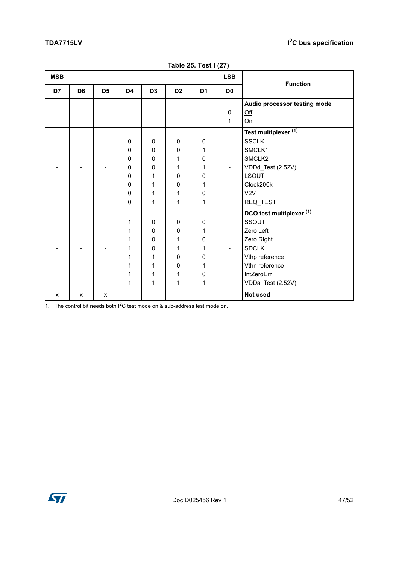<span id="page-46-0"></span>

| <b>MSB</b> |                |                |              |                |                |                | <b>LSB</b>     |                              |
|------------|----------------|----------------|--------------|----------------|----------------|----------------|----------------|------------------------------|
| D7         | D <sub>6</sub> | D <sub>5</sub> | D4           | D <sub>3</sub> | D <sub>2</sub> | D <sub>1</sub> | D <sub>0</sub> | <b>Function</b>              |
|            |                |                |              |                |                |                |                | Audio processor testing mode |
|            |                |                |              |                |                |                | $\mathbf 0$    | Qff                          |
|            |                |                |              |                |                |                | 1              | On                           |
|            |                |                |              |                |                |                |                | Test multiplexer (1)         |
|            |                |                | $\mathbf 0$  | 0              | $\mathbf 0$    | 0              |                | <b>SSCLK</b>                 |
|            |                |                | 0            | $\mathbf 0$    | $\mathbf 0$    | 1              |                | SMCLK1                       |
|            |                |                | 0            | 0              | 1              | 0              |                | SMCLK2                       |
|            |                |                | $\mathbf 0$  | 0              | 1              | 1              |                | VDDd_Test (2.52V)            |
|            |                |                | 0            | 1              | $\mathbf 0$    | 0              |                | <b>LSOUT</b>                 |
|            |                |                | 0            | 1              | 0              | 1              |                | Clock200k                    |
|            |                |                | $\mathbf 0$  | 1              | 1              | 0              |                | V2V                          |
|            |                |                | $\mathbf{0}$ | 1              | 1              | 1              |                | REQ_TEST                     |
|            |                |                |              |                |                |                |                | DCO test multiplexer (1)     |
|            |                |                | 1            | 0              | 0              | 0              |                | SSOUT                        |
|            |                |                | 1            | 0              | 0              | 1              |                | Zero Left                    |
|            |                |                | 1            | $\mathbf 0$    | 1              | 0              |                | Zero Right                   |
|            |                |                | 1            | $\pmb{0}$      | 1              | 1              |                | <b>SDCLK</b>                 |
|            |                |                | 1            | 1              | $\mathbf 0$    | 0              |                | Vthp reference               |
|            |                |                | 1            | 1              | 0              | 1              |                | Vthn reference               |
|            |                |                | 1            | 1              | 1              | 0              |                | IntZeroErr                   |
|            |                |                | 1            | 1              | 1              | 1              |                | <b>VDDa_Test (2.52V)</b>     |
| X          | X              | X              |              |                |                |                |                | Not used                     |

**Table 25. Test I (27)**

1. The control bit needs both  $1^2C$  test mode on & sub-address test mode on.

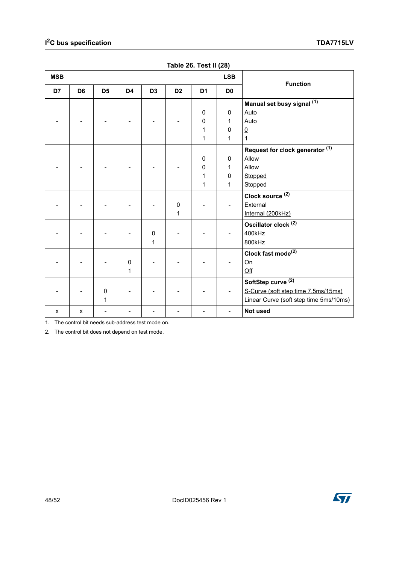<span id="page-47-0"></span>

| <b>MSB</b> | <b>LSB</b>     |                |                |                |                |                |                | <b>Function</b>                        |  |
|------------|----------------|----------------|----------------|----------------|----------------|----------------|----------------|----------------------------------------|--|
| D7         | D <sub>6</sub> | D <sub>5</sub> | D <sub>4</sub> | D <sub>3</sub> | D <sub>2</sub> | D <sub>1</sub> | D <sub>0</sub> |                                        |  |
|            |                |                |                |                |                |                |                | Manual set busy signal (1)             |  |
|            |                |                |                |                |                | 0              | $\mathbf 0$    | Auto                                   |  |
|            |                |                |                |                |                | 0              | 1              | Auto                                   |  |
|            |                |                |                |                |                | 1              | 0              | $\overline{0}$                         |  |
|            |                |                |                |                |                | 1              | 1              | $\mathbf{1}$                           |  |
|            |                |                |                |                |                |                |                | Request for clock generator (1)        |  |
|            |                |                |                |                |                | 0              | $\Omega$       | Allow                                  |  |
|            |                |                |                |                |                | 0              | 1              | Allow                                  |  |
|            |                |                |                |                |                | 1              | 0              | Stopped                                |  |
|            |                |                |                |                |                | 1              | 1              | Stopped                                |  |
|            |                |                |                |                |                |                |                | Clock source <sup>(2)</sup>            |  |
|            |                |                |                |                | 0              |                |                | External                               |  |
|            |                |                |                |                | 1              |                |                | Internal (200kHz)                      |  |
|            |                |                |                |                |                |                |                | Oscillator clock <sup>(2)</sup>        |  |
|            |                |                |                | $\pmb{0}$      |                |                |                | 400kHz                                 |  |
|            |                |                |                | 1              |                |                |                | 800kHz                                 |  |
|            |                |                |                |                |                |                |                | Clock fast mode <sup>(2)</sup>         |  |
|            |                |                | $\mathbf 0$    |                |                |                |                | On                                     |  |
|            |                |                | 1              |                |                |                |                | Off                                    |  |
|            |                |                |                |                |                |                |                | SoftStep curve <sup>(2)</sup>          |  |
|            |                | 0              |                |                |                |                |                | S-Curve (soft step time 7.5ms/15ms)    |  |
|            |                | 1              |                |                |                |                |                | Linear Curve (soft step time 5ms/10ms) |  |
| X          | X              |                |                |                |                |                |                | Not used                               |  |

**Table 26. Test II (28)**

1. The control bit needs sub-address test mode on.

2. The control bit does not depend on test mode.

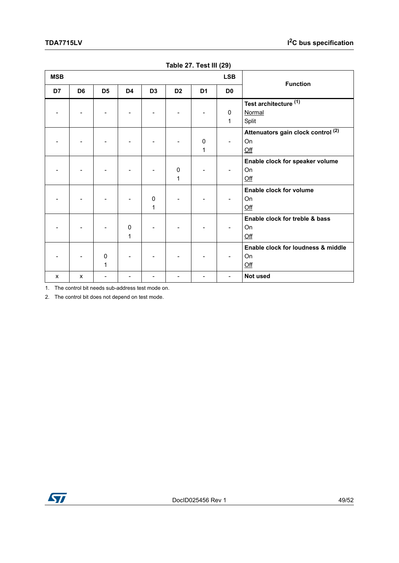<span id="page-48-0"></span>

| <b>MSB</b> |                |                  |                |                |                |                | <b>LSB</b>     |                                                        |
|------------|----------------|------------------|----------------|----------------|----------------|----------------|----------------|--------------------------------------------------------|
| D7         | D <sub>6</sub> | D <sub>5</sub>   | D <sub>4</sub> | D <sub>3</sub> | D <sub>2</sub> | D <sub>1</sub> | D <sub>0</sub> | <b>Function</b>                                        |
|            |                |                  |                |                |                |                | $\Omega$<br>1  | Test architecture <sup>(1)</sup><br>Normal<br>Split    |
|            |                |                  |                |                |                | 0<br>1         |                | Attenuators gain clock control (2)<br>On<br>Qff        |
|            |                |                  |                |                | 0<br>1         |                |                | Enable clock for speaker volume<br>On<br>Qff           |
|            |                |                  |                | 0<br>1         |                |                |                | Enable clock for volume<br>On<br>Qff                   |
|            |                |                  | 0<br>1         |                |                |                |                | Enable clock for treble & bass<br>On<br>Qff            |
|            |                | $\mathbf 0$<br>1 |                |                |                |                |                | Enable clock for loudness & middle<br><b>On</b><br>Qff |
| X          | X              |                  |                |                |                |                |                | Not used                                               |

**Table 27. Test III (29)**

1. The control bit needs sub-address test mode on.

2. The control bit does not depend on test mode.

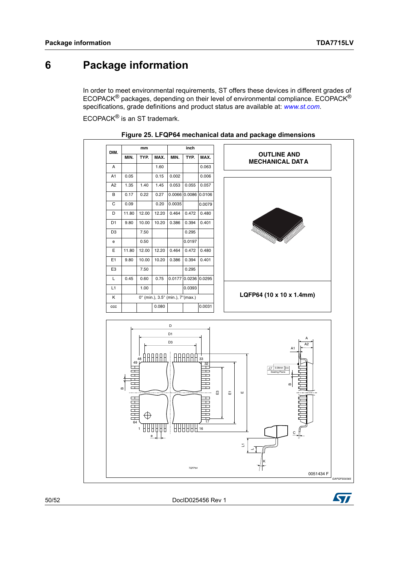## <span id="page-49-0"></span>**6 Package information**

In order to meet environmental requirements, ST offers these devices in different grades of ECOPACK<sup>®</sup> packages, depending on their level of environmental compliance. ECOPACK<sup>®</sup> specifications, grade definitions and product status are available at: *[www.st.com](http://www.st.com)*.

ECOPACK<sup>®</sup> is an ST trademark.

<span id="page-49-1"></span>

| DIM.           | mm                                                                                                                                  |                         |                            | inch                                                    |                      |                                                                                           |                                                                                                                         |  |  |
|----------------|-------------------------------------------------------------------------------------------------------------------------------------|-------------------------|----------------------------|---------------------------------------------------------|----------------------|-------------------------------------------------------------------------------------------|-------------------------------------------------------------------------------------------------------------------------|--|--|
|                | MIN.                                                                                                                                | TYP.                    | MAX.                       | MIN.                                                    | TYP.                 | MAX.                                                                                      | <b>OUTLINE AND</b><br><b>MECHANICAL DAT A</b>                                                                           |  |  |
| A              |                                                                                                                                     |                         | 1.60                       |                                                         |                      | 0.063                                                                                     |                                                                                                                         |  |  |
| A <sub>1</sub> | 0.05                                                                                                                                |                         | 0.15                       | 0.002                                                   |                      | 0.006                                                                                     |                                                                                                                         |  |  |
| A <sub>2</sub> | 1.35                                                                                                                                | 1.40                    | 1.45                       | 0.053                                                   | 0.055                | 0.057                                                                                     |                                                                                                                         |  |  |
| B              | 0.17                                                                                                                                | 0.22                    | 0.27                       | 0.0066                                                  | 0.0086               | 0.0106                                                                                    |                                                                                                                         |  |  |
| C              | 0.09                                                                                                                                |                         | 0.20                       | 0.0035                                                  |                      | 0.0079                                                                                    |                                                                                                                         |  |  |
| D              | 11.80                                                                                                                               | 12.00                   | 12.20                      | 0.464                                                   | 0.472                | 0.480                                                                                     |                                                                                                                         |  |  |
| D <sub>1</sub> | 9.80                                                                                                                                | 10.00                   | 10.20                      | 0.386                                                   | 0.394                | 0.401                                                                                     |                                                                                                                         |  |  |
| D <sub>3</sub> |                                                                                                                                     | 7.50                    |                            |                                                         | 0.295                |                                                                                           | <b>SSSSSSSSSSSS</b>                                                                                                     |  |  |
| е              |                                                                                                                                     | 0.50                    |                            |                                                         | 0.0197               |                                                                                           |                                                                                                                         |  |  |
| E              | 11.80                                                                                                                               | 12.00                   | 12.20                      | 0.464                                                   | 0.472                | 0.480                                                                                     |                                                                                                                         |  |  |
| E <sub>1</sub> | 9.80                                                                                                                                | 10.00                   | 10.20                      | 0.386                                                   | 0.394                | 0.401                                                                                     |                                                                                                                         |  |  |
| E <sub>3</sub> |                                                                                                                                     | 7.50                    |                            |                                                         | 0.295                |                                                                                           |                                                                                                                         |  |  |
| Г              | 0.45                                                                                                                                | 0.60                    | 0.75                       |                                                         | 0.0177 0.0236        | 0.0295                                                                                    |                                                                                                                         |  |  |
| L1             |                                                                                                                                     | 1.00                    |                            |                                                         | 0.0393               |                                                                                           |                                                                                                                         |  |  |
| κ              |                                                                                                                                     |                         |                            | 0° (min.), 3.5° (min.), 7° (max.)                       |                      |                                                                                           | LQFP64 (10 x 10 x 1.4mm)                                                                                                |  |  |
| $_{\rm ccc}$   |                                                                                                                                     |                         | 0.080                      |                                                         |                      | 0.0031                                                                                    |                                                                                                                         |  |  |
|                | 49<br>┯<br>$\Box$<br>$\Box$<br>LТ.<br>$\Box$<br>$\Box$<br>$\bf{m}$<br>щ<br>$\Box$<br>$\frac{1}{\sqrt{2}}$<br>$\Box$<br>$\Box$<br>64 | 48<br>€<br>1<br>ПU<br>e | Н<br>H<br>Н<br>H<br>b<br>П | D1<br>D <sub>3</sub><br>Н<br>HН<br>HAA<br>$\frac{1}{1}$ | Н<br>.<br>.<br>日日日16 | 33<br>$rac{32}{1}$<br>D<br>$\overline{\Box}$<br>H<br>H<br>Γ<br>┯<br>Þ<br>┯<br>П<br>П<br>뮤 | А<br>A <sub>2</sub><br>A <sub>1</sub><br>$\overline{D}$ 0.08mm $\cos$<br>Seating Plane<br>$\bf{m}$<br>Ш<br>E3<br>풉<br>ш |  |  |
|                |                                                                                                                                     |                         |                            |                                                         |                      |                                                                                           | Z.                                                                                                                      |  |  |

**Figure 25. LFQP64 mechanical data and package dimensions**

50/52 DocID025456 Rev 1

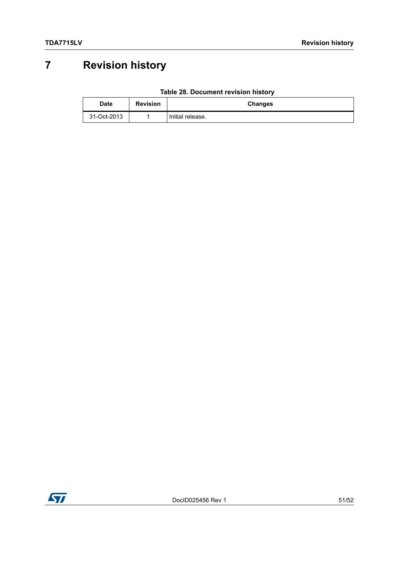# <span id="page-50-0"></span>**7 Revision history**

| Table 28. Document revision history |
|-------------------------------------|
|-------------------------------------|

<span id="page-50-1"></span>

| Date        | <b>Revision</b> | Changes          |
|-------------|-----------------|------------------|
| 31-Oct-2013 |                 | Initial release. |